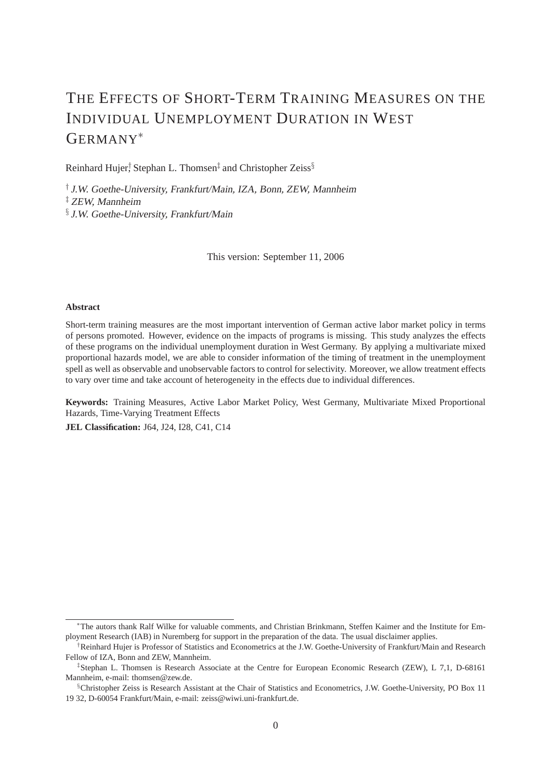# THE EFFECTS OF SHORT-TERM TRAINING MEASURES ON THE INDIVIDUAL UNEMPLOYMENT DURATION IN WEST GERMANY<sup>∗</sup>

Reinhard Hujer, Stephan L. Thomsen $^\ddag$  and Christopher Zeiss $^\S$ 

† J.W. Goethe-University, Frankfurt/Main, IZA, Bonn, ZEW, Mannheim ‡ ZEW, Mannheim § J.W. Goethe-University, Frankfurt/Main

This version: September 11, 2006

#### **Abstract**

Short-term training measures are the most important intervention of German active labor market policy in terms of persons promoted. However, evidence on the impacts of programs is missing. This study analyzes the effects of these programs on the individual unemployment duration in West Germany. By applying a multivariate mixed proportional hazards model, we are able to consider information of the timing of treatment in the unemployment spell as well as observable and unobservable factors to control for selectivity. Moreover, we allow treatment effects to vary over time and take account of heterogeneity in the effects due to individual differences.

**Keywords:** Training Measures, Active Labor Market Policy, West Germany, Multivariate Mixed Proportional Hazards, Time-Varying Treatment Effects

**JEL Classification:** J64, J24, I28, C41, C14

<sup>∗</sup>The autors thank Ralf Wilke for valuable comments, and Christian Brinkmann, Steffen Kaimer and the Institute for Employment Research (IAB) in Nuremberg for support in the preparation of the data. The usual disclaimer applies.

<sup>†</sup>Reinhard Hujer is Professor of Statistics and Econometrics at the J.W. Goethe-University of Frankfurt/Main and Research Fellow of IZA, Bonn and ZEW, Mannheim.

<sup>‡</sup> Stephan L. Thomsen is Research Associate at the Centre for European Economic Research (ZEW), L 7,1, D-68161 Mannheim, e-mail: thomsen@zew.de.

<sup>§</sup>Christopher Zeiss is Research Assistant at the Chair of Statistics and Econometrics, J.W. Goethe-University, PO Box 11 19 32, D-60054 Frankfurt/Main, e-mail: zeiss@wiwi.uni-frankfurt.de.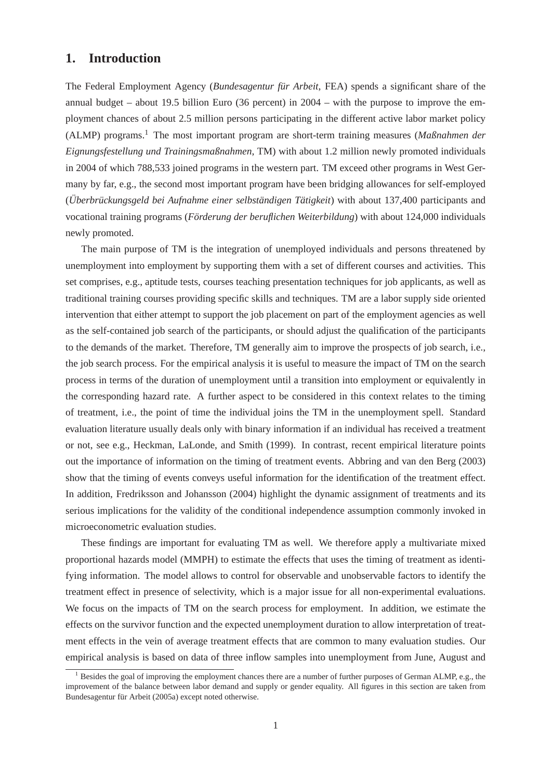# **1. Introduction**

The Federal Employment Agency (*Bundesagentur für Arbeit*, FEA) spends a significant share of the annual budget – about 19.5 billion Euro (36 percent) in 2004 – with the purpose to improve the employment chances of about 2.5 million persons participating in the different active labor market policy (ALMP) programs.<sup>1</sup> The most important program are short-term training measures (*Maßnahmen der Eignungsfestellung und Trainingsmaßnahmen*, TM) with about 1.2 million newly promoted individuals in 2004 of which 788,533 joined programs in the western part. TM exceed other programs in West Germany by far, e.g., the second most important program have been bridging allowances for self-employed (*Uberbr ¨ uckungsgeld bei Aufnahme einer selbst ¨ andigen T ¨ atigkeit ¨* ) with about 137,400 participants and vocational training programs (*Förderung der beruflichen Weiterbildung*) with about 124,000 individuals newly promoted.

The main purpose of TM is the integration of unemployed individuals and persons threatened by unemployment into employment by supporting them with a set of different courses and activities. This set comprises, e.g., aptitude tests, courses teaching presentation techniques for job applicants, as well as traditional training courses providing specific skills and techniques. TM are a labor supply side oriented intervention that either attempt to support the job placement on part of the employment agencies as well as the self-contained job search of the participants, or should adjust the qualification of the participants to the demands of the market. Therefore, TM generally aim to improve the prospects of job search, i.e., the job search process. For the empirical analysis it is useful to measure the impact of TM on the search process in terms of the duration of unemployment until a transition into employment or equivalently in the corresponding hazard rate. A further aspect to be considered in this context relates to the timing of treatment, i.e., the point of time the individual joins the TM in the unemployment spell. Standard evaluation literature usually deals only with binary information if an individual has received a treatment or not, see e.g., Heckman, LaLonde, and Smith (1999). In contrast, recent empirical literature points out the importance of information on the timing of treatment events. Abbring and van den Berg (2003) show that the timing of events conveys useful information for the identification of the treatment effect. In addition, Fredriksson and Johansson (2004) highlight the dynamic assignment of treatments and its serious implications for the validity of the conditional independence assumption commonly invoked in microeconometric evaluation studies.

These findings are important for evaluating TM as well. We therefore apply a multivariate mixed proportional hazards model (MMPH) to estimate the effects that uses the timing of treatment as identifying information. The model allows to control for observable and unobservable factors to identify the treatment effect in presence of selectivity, which is a major issue for all non-experimental evaluations. We focus on the impacts of TM on the search process for employment. In addition, we estimate the effects on the survivor function and the expected unemployment duration to allow interpretation of treatment effects in the vein of average treatment effects that are common to many evaluation studies. Our empirical analysis is based on data of three inflow samples into unemployment from June, August and

<sup>&</sup>lt;sup>1</sup> Besides the goal of improving the employment chances there are a number of further purposes of German ALMP, e.g., the improvement of the balance between labor demand and supply or gender equality. All figures in this section are taken from Bundesagentur für Arbeit (2005a) except noted otherwise.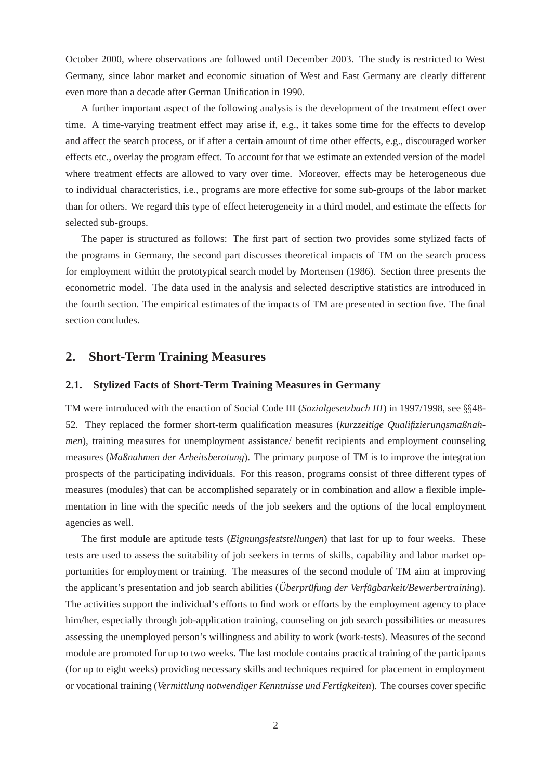October 2000, where observations are followed until December 2003. The study is restricted to West Germany, since labor market and economic situation of West and East Germany are clearly different even more than a decade after German Unification in 1990.

A further important aspect of the following analysis is the development of the treatment effect over time. A time-varying treatment effect may arise if, e.g., it takes some time for the effects to develop and affect the search process, or if after a certain amount of time other effects, e.g., discouraged worker effects etc., overlay the program effect. To account for that we estimate an extended version of the model where treatment effects are allowed to vary over time. Moreover, effects may be heterogeneous due to individual characteristics, i.e., programs are more effective for some sub-groups of the labor market than for others. We regard this type of effect heterogeneity in a third model, and estimate the effects for selected sub-groups.

The paper is structured as follows: The first part of section two provides some stylized facts of the programs in Germany, the second part discusses theoretical impacts of TM on the search process for employment within the prototypical search model by Mortensen (1986). Section three presents the econometric model. The data used in the analysis and selected descriptive statistics are introduced in the fourth section. The empirical estimates of the impacts of TM are presented in section five. The final section concludes.

## **2. Short-Term Training Measures**

## **2.1. Stylized Facts of Short-Term Training Measures in Germany**

TM were introduced with the enaction of Social Code III (*Sozialgesetzbuch III*) in 1997/1998, see §§48- 52. They replaced the former short-term qualification measures (*kurzzeitige Qualifizierungsmaßnahmen*), training measures for unemployment assistance/ benefit recipients and employment counseling measures (*Maßnahmen der Arbeitsberatung*). The primary purpose of TM is to improve the integration prospects of the participating individuals. For this reason, programs consist of three different types of measures (modules) that can be accomplished separately or in combination and allow a flexible implementation in line with the specific needs of the job seekers and the options of the local employment agencies as well.

The first module are aptitude tests (*Eignungsfeststellungen*) that last for up to four weeks. These tests are used to assess the suitability of job seekers in terms of skills, capability and labor market opportunities for employment or training. The measures of the second module of TM aim at improving the applicant's presentation and job search abilities (*Überprüfung der Verfügbarkeit/Bewerbertraining*). The activities support the individual's efforts to find work or efforts by the employment agency to place him/her, especially through job-application training, counseling on job search possibilities or measures assessing the unemployed person's willingness and ability to work (work-tests). Measures of the second module are promoted for up to two weeks. The last module contains practical training of the participants (for up to eight weeks) providing necessary skills and techniques required for placement in employment or vocational training (*Vermittlung notwendiger Kenntnisse und Fertigkeiten*). The courses cover specific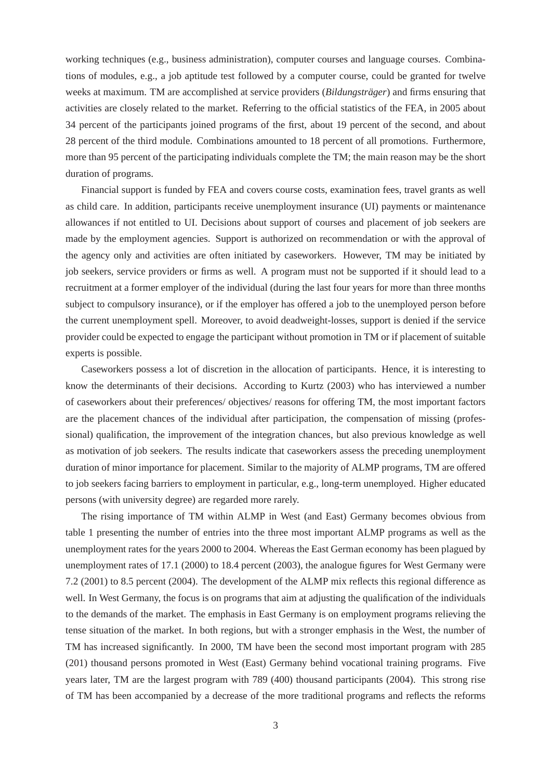working techniques (e.g., business administration), computer courses and language courses. Combinations of modules, e.g., a job aptitude test followed by a computer course, could be granted for twelve weeks at maximum. TM are accomplished at service providers (*Bildungsträger*) and firms ensuring that activities are closely related to the market. Referring to the official statistics of the FEA, in 2005 about 34 percent of the participants joined programs of the first, about 19 percent of the second, and about 28 percent of the third module. Combinations amounted to 18 percent of all promotions. Furthermore, more than 95 percent of the participating individuals complete the TM; the main reason may be the short duration of programs.

Financial support is funded by FEA and covers course costs, examination fees, travel grants as well as child care. In addition, participants receive unemployment insurance (UI) payments or maintenance allowances if not entitled to UI. Decisions about support of courses and placement of job seekers are made by the employment agencies. Support is authorized on recommendation or with the approval of the agency only and activities are often initiated by caseworkers. However, TM may be initiated by job seekers, service providers or firms as well. A program must not be supported if it should lead to a recruitment at a former employer of the individual (during the last four years for more than three months subject to compulsory insurance), or if the employer has offered a job to the unemployed person before the current unemployment spell. Moreover, to avoid deadweight-losses, support is denied if the service provider could be expected to engage the participant without promotion in TM or if placement of suitable experts is possible.

Caseworkers possess a lot of discretion in the allocation of participants. Hence, it is interesting to know the determinants of their decisions. According to Kurtz (2003) who has interviewed a number of caseworkers about their preferences/ objectives/ reasons for offering TM, the most important factors are the placement chances of the individual after participation, the compensation of missing (professional) qualification, the improvement of the integration chances, but also previous knowledge as well as motivation of job seekers. The results indicate that caseworkers assess the preceding unemployment duration of minor importance for placement. Similar to the majority of ALMP programs, TM are offered to job seekers facing barriers to employment in particular, e.g., long-term unemployed. Higher educated persons (with university degree) are regarded more rarely.

The rising importance of TM within ALMP in West (and East) Germany becomes obvious from table 1 presenting the number of entries into the three most important ALMP programs as well as the unemployment rates for the years 2000 to 2004. Whereas the East German economy has been plagued by unemployment rates of 17.1 (2000) to 18.4 percent (2003), the analogue figures for West Germany were 7.2 (2001) to 8.5 percent (2004). The development of the ALMP mix reflects this regional difference as well. In West Germany, the focus is on programs that aim at adjusting the qualification of the individuals to the demands of the market. The emphasis in East Germany is on employment programs relieving the tense situation of the market. In both regions, but with a stronger emphasis in the West, the number of TM has increased significantly. In 2000, TM have been the second most important program with 285 (201) thousand persons promoted in West (East) Germany behind vocational training programs. Five years later, TM are the largest program with 789 (400) thousand participants (2004). This strong rise of TM has been accompanied by a decrease of the more traditional programs and reflects the reforms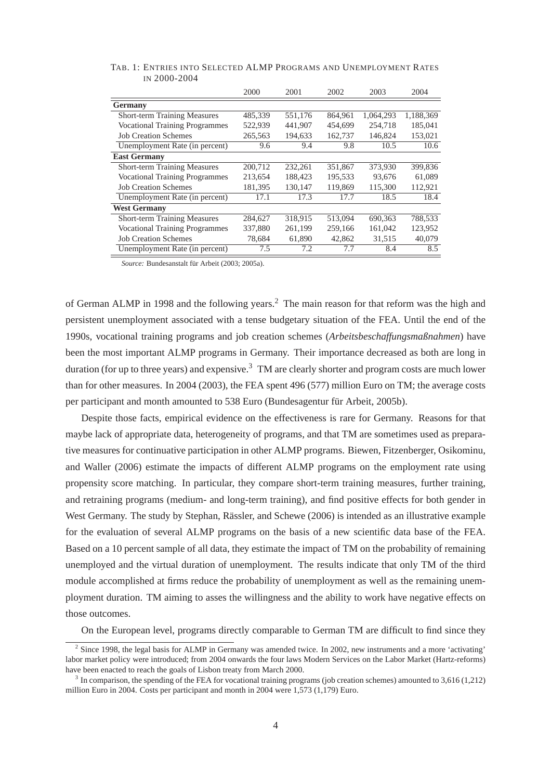|                                       | 2000    | 2001    | 2002    | 2003      | 2004      |
|---------------------------------------|---------|---------|---------|-----------|-----------|
| Germany                               |         |         |         |           |           |
| Short-term Training Measures          | 485,339 | 551,176 | 864,961 | 1.064.293 | 1,188,369 |
| <b>Vocational Training Programmes</b> | 522,939 | 441,907 | 454,699 | 254,718   | 185,041   |
| <b>Job Creation Schemes</b>           | 265,563 | 194,633 | 162,737 | 146,824   | 153,021   |
| Unemployment Rate (in percent)        | 9.6     | 9.4     | 9.8     | 10.5      | 10.6      |
| <b>East Germany</b>                   |         |         |         |           |           |
| <b>Short-term Training Measures</b>   | 200,712 | 232,261 | 351,867 | 373,930   | 399,836   |
| <b>Vocational Training Programmes</b> | 213,654 | 188,423 | 195,533 | 93,676    | 61,089    |
| <b>Job Creation Schemes</b>           | 181,395 | 130,147 | 119,869 | 115,300   | 112,921   |
| Unemployment Rate (in percent)        | 17.1    | 17.3    | 17.7    | 18.5      | 18.4      |
| <b>West Germany</b>                   |         |         |         |           |           |
| <b>Short-term Training Measures</b>   | 284,627 | 318,915 | 513,094 | 690.363   | 788,533   |
| <b>Vocational Training Programmes</b> | 337,880 | 261,199 | 259,166 | 161,042   | 123,952   |
| <b>Job Creation Schemes</b>           | 78,684  | 61,890  | 42,862  | 31,515    | 40,079    |
| Unemployment Rate (in percent)        | 7.5     | 7.2     | 7.7     | 8.4       | 8.5       |

TAB. 1: ENTRIES INTO SELECTED ALMP PROGRAMS AND UNEMPLOYMENT RATES IN 2000-2004

*Source:* Bundesanstalt für Arbeit (2003; 2005a).

of German ALMP in 1998 and the following years.<sup>2</sup> The main reason for that reform was the high and persistent unemployment associated with a tense budgetary situation of the FEA. Until the end of the 1990s, vocational training programs and job creation schemes (*Arbeitsbeschaffungsmaßnahmen*) have been the most important ALMP programs in Germany. Their importance decreased as both are long in duration (for up to three years) and expensive.<sup>3</sup> TM are clearly shorter and program costs are much lower than for other measures. In 2004 (2003), the FEA spent 496 (577) million Euro on TM; the average costs per participant and month amounted to 538 Euro (Bundesagentur für Arbeit, 2005b).

Despite those facts, empirical evidence on the effectiveness is rare for Germany. Reasons for that maybe lack of appropriate data, heterogeneity of programs, and that TM are sometimes used as preparative measures for continuative participation in other ALMP programs. Biewen, Fitzenberger, Osikominu, and Waller (2006) estimate the impacts of different ALMP programs on the employment rate using propensity score matching. In particular, they compare short-term training measures, further training, and retraining programs (medium- and long-term training), and find positive effects for both gender in West Germany. The study by Stephan, Rässler, and Schewe (2006) is intended as an illustrative example for the evaluation of several ALMP programs on the basis of a new scientific data base of the FEA. Based on a 10 percent sample of all data, they estimate the impact of TM on the probability of remaining unemployed and the virtual duration of unemployment. The results indicate that only TM of the third module accomplished at firms reduce the probability of unemployment as well as the remaining unemployment duration. TM aiming to asses the willingness and the ability to work have negative effects on those outcomes.

On the European level, programs directly comparable to German TM are difficult to find since they

<sup>&</sup>lt;sup>2</sup> Since 1998, the legal basis for ALMP in Germany was amended twice. In 2002, new instruments and a more 'activating' labor market policy were introduced; from 2004 onwards the four laws Modern Services on the Labor Market (Hartz-reforms) have been enacted to reach the goals of Lisbon treaty from March 2000.

<sup>&</sup>lt;sup>3</sup> In comparison, the spending of the FEA for vocational training programs (job creation schemes) amounted to 3,616 (1,212) million Euro in 2004. Costs per participant and month in 2004 were 1,573 (1,179) Euro.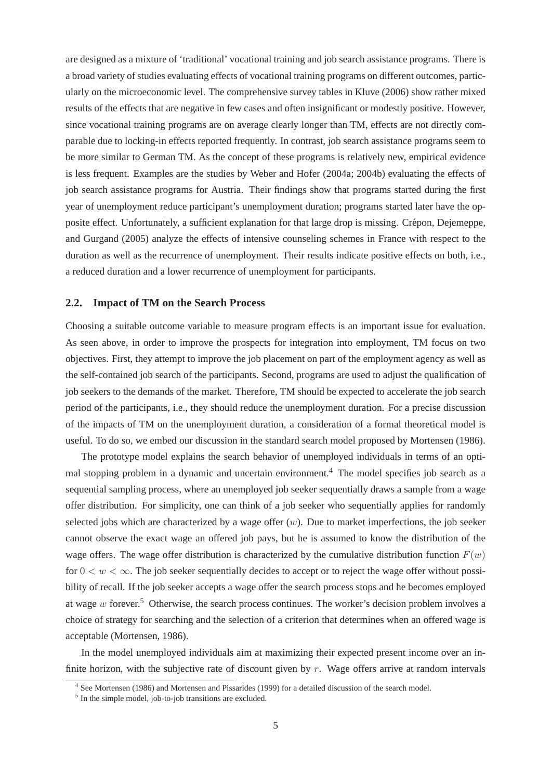are designed as a mixture of 'traditional' vocational training and job search assistance programs. There is a broad variety of studies evaluating effects of vocational training programs on different outcomes, particularly on the microeconomic level. The comprehensive survey tables in Kluve (2006) show rather mixed results of the effects that are negative in few cases and often insignificant or modestly positive. However, since vocational training programs are on average clearly longer than TM, effects are not directly comparable due to locking-in effects reported frequently. In contrast, job search assistance programs seem to be more similar to German TM. As the concept of these programs is relatively new, empirical evidence is less frequent. Examples are the studies by Weber and Hofer (2004a; 2004b) evaluating the effects of job search assistance programs for Austria. Their findings show that programs started during the first year of unemployment reduce participant's unemployment duration; programs started later have the opposite effect. Unfortunately, a sufficient explanation for that large drop is missing. Crepon, Dejemeppe, ´ and Gurgand (2005) analyze the effects of intensive counseling schemes in France with respect to the duration as well as the recurrence of unemployment. Their results indicate positive effects on both, i.e., a reduced duration and a lower recurrence of unemployment for participants.

#### **2.2. Impact of TM on the Search Process**

Choosing a suitable outcome variable to measure program effects is an important issue for evaluation. As seen above, in order to improve the prospects for integration into employment, TM focus on two objectives. First, they attempt to improve the job placement on part of the employment agency as well as the self-contained job search of the participants. Second, programs are used to adjust the qualification of job seekers to the demands of the market. Therefore, TM should be expected to accelerate the job search period of the participants, i.e., they should reduce the unemployment duration. For a precise discussion of the impacts of TM on the unemployment duration, a consideration of a formal theoretical model is useful. To do so, we embed our discussion in the standard search model proposed by Mortensen (1986).

The prototype model explains the search behavior of unemployed individuals in terms of an optimal stopping problem in a dynamic and uncertain environment.<sup>4</sup> The model specifies job search as a sequential sampling process, where an unemployed job seeker sequentially draws a sample from a wage offer distribution. For simplicity, one can think of a job seeker who sequentially applies for randomly selected jobs which are characterized by a wage offer  $(w)$ . Due to market imperfections, the job seeker cannot observe the exact wage an offered job pays, but he is assumed to know the distribution of the wage offers. The wage offer distribution is characterized by the cumulative distribution function  $F(w)$ for  $0 < w < \infty$ . The job seeker sequentially decides to accept or to reject the wage offer without possibility of recall. If the job seeker accepts a wage offer the search process stops and he becomes employed at wage  $w$  forever.<sup>5</sup> Otherwise, the search process continues. The worker's decision problem involves a choice of strategy for searching and the selection of a criterion that determines when an offered wage is acceptable (Mortensen, 1986).

In the model unemployed individuals aim at maximizing their expected present income over an infinite horizon, with the subjective rate of discount given by  $r$ . Wage offers arrive at random intervals

<sup>4</sup> See Mortensen (1986) and Mortensen and Pissarides (1999) for a detailed discussion of the search model.

<sup>&</sup>lt;sup>5</sup> In the simple model, job-to-job transitions are excluded.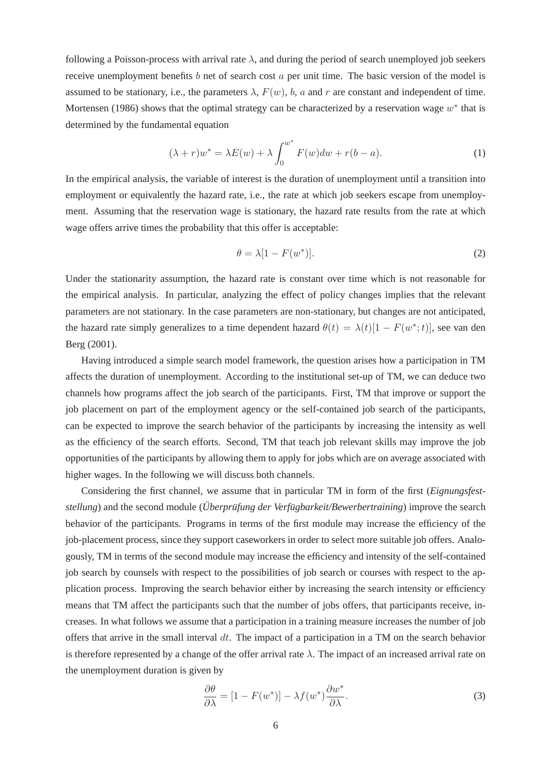following a Poisson-process with arrival rate  $\lambda$ , and during the period of search unemployed job seekers receive unemployment benefits  $b$  net of search cost  $a$  per unit time. The basic version of the model is assumed to be stationary, i.e., the parameters  $\lambda$ ,  $F(w)$ , b, a and r are constant and independent of time. Mortensen (1986) shows that the optimal strategy can be characterized by a reservation wage  $w^*$  that is determined by the fundamental equation

$$
(\lambda + r)w^* = \lambda E(w) + \lambda \int_0^{w^*} F(w)dw + r(b - a).
$$
 (1)

In the empirical analysis, the variable of interest is the duration of unemployment until a transition into employment or equivalently the hazard rate, i.e., the rate at which job seekers escape from unemployment. Assuming that the reservation wage is stationary, the hazard rate results from the rate at which wage offers arrive times the probability that this offer is acceptable:

$$
\theta = \lambda [1 - F(w^*)].\tag{2}
$$

Under the stationarity assumption, the hazard rate is constant over time which is not reasonable for the empirical analysis. In particular, analyzing the effect of policy changes implies that the relevant parameters are not stationary. In the case parameters are non-stationary, but changes are not anticipated, the hazard rate simply generalizes to a time dependent hazard  $\theta(t) = \lambda(t)[1 - F(w^*; t)]$ , see van den Berg (2001).

Having introduced a simple search model framework, the question arises how a participation in TM affects the duration of unemployment. According to the institutional set-up of TM, we can deduce two channels how programs affect the job search of the participants. First, TM that improve or support the job placement on part of the employment agency or the self-contained job search of the participants, can be expected to improve the search behavior of the participants by increasing the intensity as well as the efficiency of the search efforts. Second, TM that teach job relevant skills may improve the job opportunities of the participants by allowing them to apply for jobs which are on average associated with higher wages. In the following we will discuss both channels.

Considering the first channel, we assume that in particular TM in form of the first (*Eignungsfeststellung*) and the second module *(Überprüfung der Verfügbarkeit/Bewerbertraining*) improve the search behavior of the participants. Programs in terms of the first module may increase the efficiency of the job-placement process, since they support caseworkers in order to select more suitable job offers. Analogously, TM in terms of the second module may increase the efficiency and intensity of the self-contained job search by counsels with respect to the possibilities of job search or courses with respect to the application process. Improving the search behavior either by increasing the search intensity or efficiency means that TM affect the participants such that the number of jobs offers, that participants receive, increases. In what follows we assume that a participation in a training measure increases the number of job offers that arrive in the small interval  $dt$ . The impact of a participation in a TM on the search behavior is therefore represented by a change of the offer arrival rate  $\lambda$ . The impact of an increased arrival rate on the unemployment duration is given by

$$
\frac{\partial \theta}{\partial \lambda} = [1 - F(w^*)] - \lambda f(w^*) \frac{\partial w^*}{\partial \lambda}.
$$
\n(3)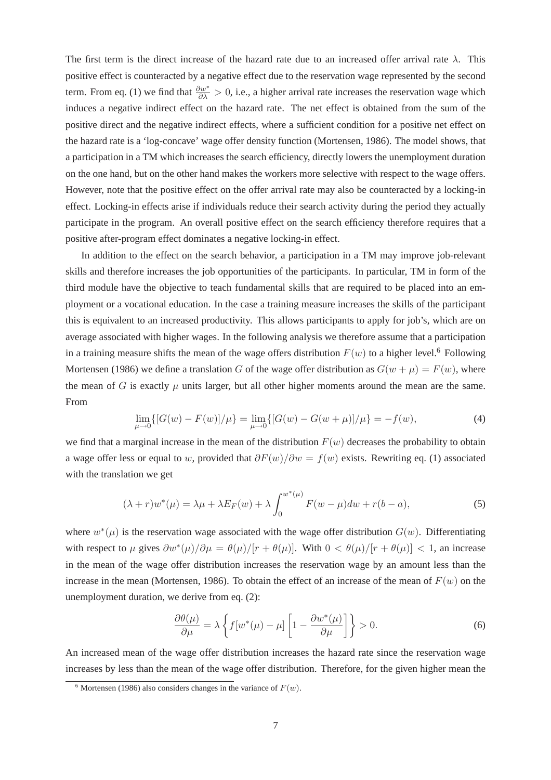The first term is the direct increase of the hazard rate due to an increased offer arrival rate  $\lambda$ . This positive effect is counteracted by a negative effect due to the reservation wage represented by the second term. From eq. (1) we find that  $\frac{\partial w^*}{\partial \lambda} > 0$ , i.e., a higher arrival rate increases the reservation wage which induces a negative indirect effect on the hazard rate. The net effect is obtained from the sum of the positive direct and the negative indirect effects, where a sufficient condition for a positive net effect on the hazard rate is a 'log-concave' wage offer density function (Mortensen, 1986). The model shows, that a participation in a TM which increases the search efficiency, directly lowers the unemployment duration on the one hand, but on the other hand makes the workers more selective with respect to the wage offers. However, note that the positive effect on the offer arrival rate may also be counteracted by a locking-in effect. Locking-in effects arise if individuals reduce their search activity during the period they actually participate in the program. An overall positive effect on the search efficiency therefore requires that a positive after-program effect dominates a negative locking-in effect.

In addition to the effect on the search behavior, a participation in a TM may improve job-relevant skills and therefore increases the job opportunities of the participants. In particular, TM in form of the third module have the objective to teach fundamental skills that are required to be placed into an employment or a vocational education. In the case a training measure increases the skills of the participant this is equivalent to an increased productivity. This allows participants to apply for job's, which are on average associated with higher wages. In the following analysis we therefore assume that a participation in a training measure shifts the mean of the wage offers distribution  $F(w)$  to a higher level.<sup>6</sup> Following Mortensen (1986) we define a translation G of the wage offer distribution as  $G(w + \mu) = F(w)$ , where the mean of G is exactly  $\mu$  units larger, but all other higher moments around the mean are the same. From

$$
\lim_{\mu \to 0} \{ [G(w) - F(w)]/\mu \} = \lim_{\mu \to 0} \{ [G(w) - G(w + \mu)]/\mu \} = -f(w),
$$
\n(4)

we find that a marginal increase in the mean of the distribution  $F(w)$  decreases the probability to obtain a wage offer less or equal to w, provided that  $\frac{\partial F(w)}{\partial w} = f(w)$  exists. Rewriting eq. (1) associated with the translation we get

$$
(\lambda + r)w^*(\mu) = \lambda\mu + \lambda E_F(w) + \lambda \int_0^{w^*(\mu)} F(w - \mu)dw + r(b - a), \tag{5}
$$

where  $w^*(\mu)$  is the reservation wage associated with the wage offer distribution  $G(w)$ . Differentiating with respect to  $\mu$  gives  $\frac{\partial w^*(\mu)}{\partial \mu} = \frac{\theta(\mu)}{[r + \theta(\mu)]}$ . With  $0 < \frac{\theta(\mu)}{[r + \theta(\mu)]} < 1$ , an increase in the mean of the wage offer distribution increases the reservation wage by an amount less than the increase in the mean (Mortensen, 1986). To obtain the effect of an increase of the mean of  $F(w)$  on the unemployment duration, we derive from eq. (2):

$$
\frac{\partial \theta(\mu)}{\partial \mu} = \lambda \left\{ f[w^*(\mu) - \mu] \left[ 1 - \frac{\partial w^*(\mu)}{\partial \mu} \right] \right\} > 0. \tag{6}
$$

An increased mean of the wage offer distribution increases the hazard rate since the reservation wage increases by less than the mean of the wage offer distribution. Therefore, for the given higher mean the

<sup>&</sup>lt;sup>6</sup> Mortensen (1986) also considers changes in the variance of  $F(w)$ .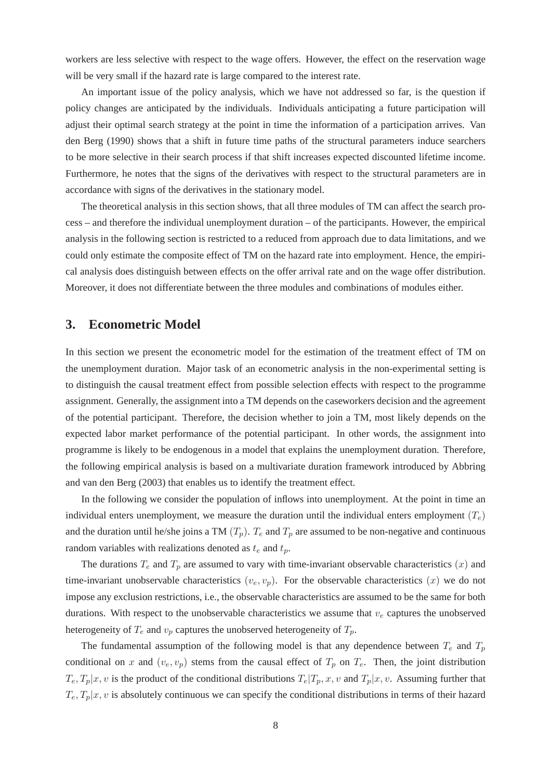workers are less selective with respect to the wage offers. However, the effect on the reservation wage will be very small if the hazard rate is large compared to the interest rate.

An important issue of the policy analysis, which we have not addressed so far, is the question if policy changes are anticipated by the individuals. Individuals anticipating a future participation will adjust their optimal search strategy at the point in time the information of a participation arrives. Van den Berg (1990) shows that a shift in future time paths of the structural parameters induce searchers to be more selective in their search process if that shift increases expected discounted lifetime income. Furthermore, he notes that the signs of the derivatives with respect to the structural parameters are in accordance with signs of the derivatives in the stationary model.

The theoretical analysis in this section shows, that all three modules of TM can affect the search process – and therefore the individual unemployment duration – of the participants. However, the empirical analysis in the following section is restricted to a reduced from approach due to data limitations, and we could only estimate the composite effect of TM on the hazard rate into employment. Hence, the empirical analysis does distinguish between effects on the offer arrival rate and on the wage offer distribution. Moreover, it does not differentiate between the three modules and combinations of modules either.

# **3. Econometric Model**

In this section we present the econometric model for the estimation of the treatment effect of TM on the unemployment duration. Major task of an econometric analysis in the non-experimental setting is to distinguish the causal treatment effect from possible selection effects with respect to the programme assignment. Generally, the assignment into a TM depends on the caseworkers decision and the agreement of the potential participant. Therefore, the decision whether to join a TM, most likely depends on the expected labor market performance of the potential participant. In other words, the assignment into programme is likely to be endogenous in a model that explains the unemployment duration. Therefore, the following empirical analysis is based on a multivariate duration framework introduced by Abbring and van den Berg (2003) that enables us to identify the treatment effect.

In the following we consider the population of inflows into unemployment. At the point in time an individual enters unemployment, we measure the duration until the individual enters employment  $(T_e)$ and the duration until he/she joins a TM  $(T_p)$ .  $T_e$  and  $T_p$  are assumed to be non-negative and continuous random variables with realizations denoted as  $t_e$  and  $t_p$ .

The durations  $T_e$  and  $T_p$  are assumed to vary with time-invariant observable characteristics  $(x)$  and time-invariant unobservable characteristics  $(v_e, v_p)$ . For the observable characteristics  $(x)$  we do not impose any exclusion restrictions, i.e., the observable characteristics are assumed to be the same for both durations. With respect to the unobservable characteristics we assume that  $v_e$  captures the unobserved heterogeneity of  $T_e$  and  $v_p$  captures the unobserved heterogeneity of  $T_p$ .

The fundamental assumption of the following model is that any dependence between  $T_e$  and  $T_p$ conditional on x and  $(v_e, v_p)$  stems from the causal effect of  $T_p$  on  $T_e$ . Then, the joint distribution  $T_e, T_p|x, v$  is the product of the conditional distributions  $T_e|T_p, x, v$  and  $T_p|x, v$ . Assuming further that  $T_e, T_p|x, v$  is absolutely continuous we can specify the conditional distributions in terms of their hazard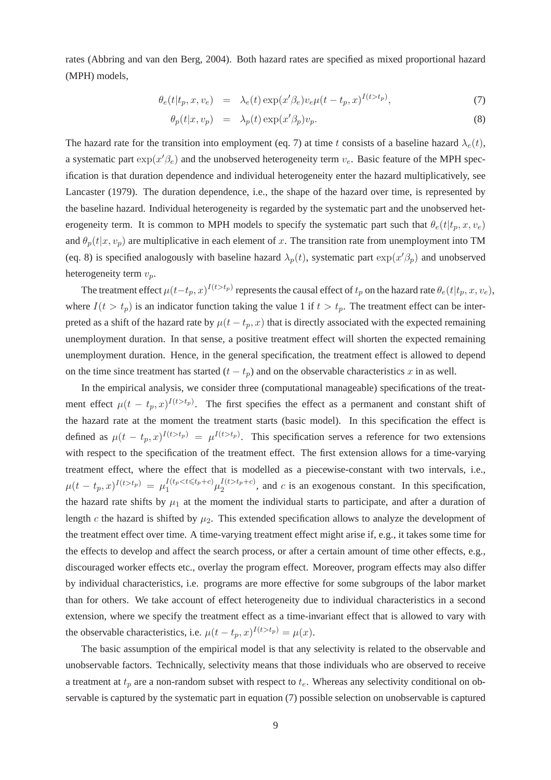rates (Abbring and van den Berg, 2004). Both hazard rates are specified as mixed proportional hazard (MPH) models,

$$
\theta_e(t|t_p, x, v_e) = \lambda_e(t) \exp(x'\beta_e) v_e \mu(t - t_p, x)^{I(t > t_p)}, \tag{7}
$$

$$
\theta_p(t|x, v_p) = \lambda_p(t) \exp(x'\beta_p) v_p. \tag{8}
$$

The hazard rate for the transition into employment (eq. 7) at time t consists of a baseline hazard  $\lambda_e(t)$ , a systematic part  $\exp(x'\beta_e)$  and the unobserved heterogeneity term  $v_e$ . Basic feature of the MPH specification is that duration dependence and individual heterogeneity enter the hazard multiplicatively, see Lancaster (1979). The duration dependence, i.e., the shape of the hazard over time, is represented by the baseline hazard. Individual heterogeneity is regarded by the systematic part and the unobserved heterogeneity term. It is common to MPH models to specify the systematic part such that  $\theta_e(t|t_p, x, v_e)$ and  $\theta_p(t|x, v_p)$  are multiplicative in each element of x. The transition rate from unemployment into TM (eq. 8) is specified analogously with baseline hazard  $\lambda_p(t)$ , systematic part  $\exp(x'\beta_p)$  and unobserved heterogeneity term  $v_p$ .

The treatment effect  $\mu(t-t_p,x)^{I(t>t_p)}$  represents the causal effect of  $t_p$  on the hazard rate  $\theta_e(t|t_p,x,v_e)$ , where  $I(t > t_p)$  is an indicator function taking the value 1 if  $t > t_p$ . The treatment effect can be interpreted as a shift of the hazard rate by  $\mu(t - t_p, x)$  that is directly associated with the expected remaining unemployment duration. In that sense, a positive treatment effect will shorten the expected remaining unemployment duration. Hence, in the general specification, the treatment effect is allowed to depend on the time since treatment has started  $(t - t_p)$  and on the observable characteristics x in as well.

In the empirical analysis, we consider three (computational manageable) specifications of the treatment effect  $\mu(t - t_p, x)^{I(t > t_p)}$ . The first specifies the effect as a permanent and constant shift of the hazard rate at the moment the treatment starts (basic model). In this specification the effect is defined as  $\mu(t - t_p, x)^{I(t > t_p)} = \mu^{I(t > t_p)}$ . This specification serves a reference for two extensions with respect to the specification of the treatment effect. The first extension allows for a time-varying treatment effect, where the effect that is modelled as a piecewise-constant with two intervals, i.e.,  $\mu(t - t_p, x)^{I(t > t_p)} = \mu_1^{I(t_p < t \leq t_p + c)} \mu_2^{I(t > t_p + c)}$  $2^{(1/5 \ell_p + c)}$ , and c is an exogenous constant. In this specification, the hazard rate shifts by  $\mu_1$  at the moment the individual starts to participate, and after a duration of length c the hazard is shifted by  $\mu_2$ . This extended specification allows to analyze the development of the treatment effect over time. A time-varying treatment effect might arise if, e.g., it takes some time for the effects to develop and affect the search process, or after a certain amount of time other effects, e.g., discouraged worker effects etc., overlay the program effect. Moreover, program effects may also differ by individual characteristics, i.e. programs are more effective for some subgroups of the labor market than for others. We take account of effect heterogeneity due to individual characteristics in a second extension, where we specify the treatment effect as a time-invariant effect that is allowed to vary with the observable characteristics, i.e.  $\mu(t - t_p, x)^{I(t \ge t_p)} = \mu(x)$ .

The basic assumption of the empirical model is that any selectivity is related to the observable and unobservable factors. Technically, selectivity means that those individuals who are observed to receive a treatment at  $t_p$  are a non-random subset with respect to  $t_e$ . Whereas any selectivity conditional on observable is captured by the systematic part in equation (7) possible selection on unobservable is captured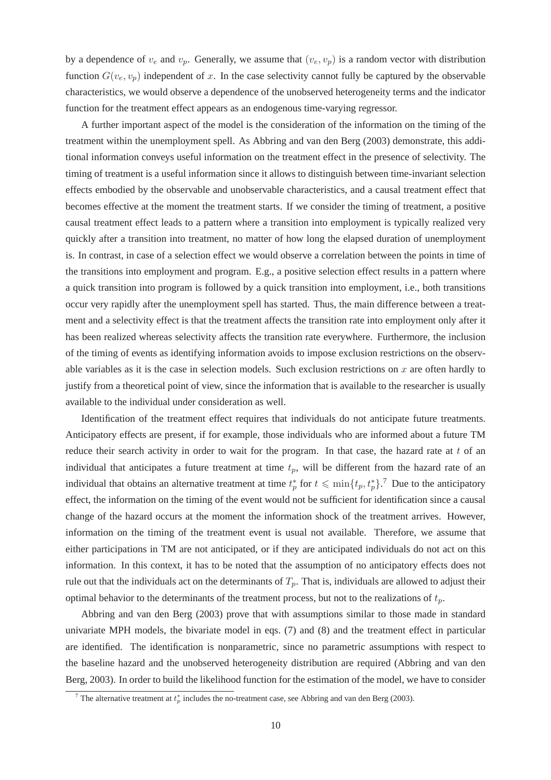by a dependence of  $v_e$  and  $v_p$ . Generally, we assume that  $(v_e, v_p)$  is a random vector with distribution function  $G(v_e, v_p)$  independent of x. In the case selectivity cannot fully be captured by the observable characteristics, we would observe a dependence of the unobserved heterogeneity terms and the indicator function for the treatment effect appears as an endogenous time-varying regressor.

A further important aspect of the model is the consideration of the information on the timing of the treatment within the unemployment spell. As Abbring and van den Berg (2003) demonstrate, this additional information conveys useful information on the treatment effect in the presence of selectivity. The timing of treatment is a useful information since it allows to distinguish between time-invariant selection effects embodied by the observable and unobservable characteristics, and a causal treatment effect that becomes effective at the moment the treatment starts. If we consider the timing of treatment, a positive causal treatment effect leads to a pattern where a transition into employment is typically realized very quickly after a transition into treatment, no matter of how long the elapsed duration of unemployment is. In contrast, in case of a selection effect we would observe a correlation between the points in time of the transitions into employment and program. E.g., a positive selection effect results in a pattern where a quick transition into program is followed by a quick transition into employment, i.e., both transitions occur very rapidly after the unemployment spell has started. Thus, the main difference between a treatment and a selectivity effect is that the treatment affects the transition rate into employment only after it has been realized whereas selectivity affects the transition rate everywhere. Furthermore, the inclusion of the timing of events as identifying information avoids to impose exclusion restrictions on the observable variables as it is the case in selection models. Such exclusion restrictions on  $x$  are often hardly to justify from a theoretical point of view, since the information that is available to the researcher is usually available to the individual under consideration as well.

Identification of the treatment effect requires that individuals do not anticipate future treatments. Anticipatory effects are present, if for example, those individuals who are informed about a future TM reduce their search activity in order to wait for the program. In that case, the hazard rate at  $t$  of an individual that anticipates a future treatment at time  $t_p$ , will be different from the hazard rate of an individual that obtains an alternative treatment at time  $t_p^*$  for  $t \leq \min\{t_p, t_p^*\}$ .<sup>7</sup> Due to the anticipatory effect, the information on the timing of the event would not be sufficient for identification since a causal change of the hazard occurs at the moment the information shock of the treatment arrives. However, information on the timing of the treatment event is usual not available. Therefore, we assume that either participations in TM are not anticipated, or if they are anticipated individuals do not act on this information. In this context, it has to be noted that the assumption of no anticipatory effects does not rule out that the individuals act on the determinants of  $T_p$ . That is, individuals are allowed to adjust their optimal behavior to the determinants of the treatment process, but not to the realizations of  $t_p$ .

Abbring and van den Berg (2003) prove that with assumptions similar to those made in standard univariate MPH models, the bivariate model in eqs. (7) and (8) and the treatment effect in particular are identified. The identification is nonparametric, since no parametric assumptions with respect to the baseline hazard and the unobserved heterogeneity distribution are required (Abbring and van den Berg, 2003). In order to build the likelihood function for the estimation of the model, we have to consider

<sup>&</sup>lt;sup>7</sup> The alternative treatment at  $t_p^*$  includes the no-treatment case, see Abbring and van den Berg (2003).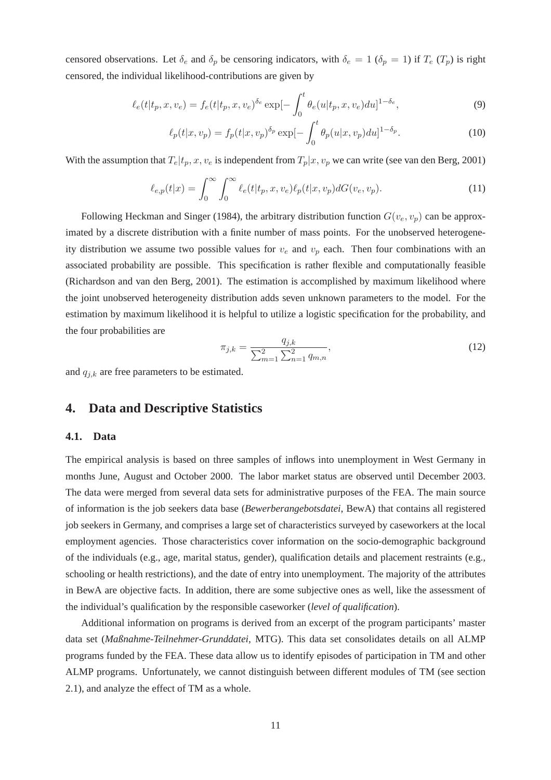censored observations. Let  $\delta_e$  and  $\delta_p$  be censoring indicators, with  $\delta_e = 1$  ( $\delta_p = 1$ ) if  $T_e$  ( $T_p$ ) is right censored, the individual likelihood-contributions are given by

$$
\ell_e(t|t_p, x, v_e) = f_e(t|t_p, x, v_e)^{\delta_e} \exp[-\int_0^t \theta_e(u|t_p, x, v_e) du]^{1 - \delta_e},
$$
\n(9)

$$
\ell_p(t|x, v_p) = f_p(t|x, v_p)^{\delta_p} \exp[-\int_0^t \theta_p(u|x, v_p) du]^{1 - \delta_p}.
$$
 (10)

With the assumption that  $T_e|t_p, x, v_e$  is independent from  $T_p|x, v_p$  we can write (see van den Berg, 2001)

$$
\ell_{e,p}(t|x) = \int_0^\infty \int_0^\infty \ell_e(t|t_p, x, v_e) \ell_p(t|x, v_p) dG(v_e, v_p). \tag{11}
$$

Following Heckman and Singer (1984), the arbitrary distribution function  $G(v_e, v_p)$  can be approximated by a discrete distribution with a finite number of mass points. For the unobserved heterogeneity distribution we assume two possible values for  $v_e$  and  $v_p$  each. Then four combinations with an associated probability are possible. This specification is rather flexible and computationally feasible (Richardson and van den Berg, 2001). The estimation is accomplished by maximum likelihood where the joint unobserved heterogeneity distribution adds seven unknown parameters to the model. For the estimation by maximum likelihood it is helpful to utilize a logistic specification for the probability, and the four probabilities are

$$
\pi_{j,k} = \frac{q_{j,k}}{\sum_{m=1}^{2} \sum_{n=1}^{2} q_{m,n}},\tag{12}
$$

and  $q_{j,k}$  are free parameters to be estimated.

## **4. Data and Descriptive Statistics**

#### **4.1. Data**

The empirical analysis is based on three samples of inflows into unemployment in West Germany in months June, August and October 2000. The labor market status are observed until December 2003. The data were merged from several data sets for administrative purposes of the FEA. The main source of information is the job seekers data base (*Bewerberangebotsdatei*, BewA) that contains all registered job seekers in Germany, and comprises a large set of characteristics surveyed by caseworkers at the local employment agencies. Those characteristics cover information on the socio-demographic background of the individuals (e.g., age, marital status, gender), qualification details and placement restraints (e.g., schooling or health restrictions), and the date of entry into unemployment. The majority of the attributes in BewA are objective facts. In addition, there are some subjective ones as well, like the assessment of the individual's qualification by the responsible caseworker (*level of qualification*).

Additional information on programs is derived from an excerpt of the program participants' master data set (*Maßnahme-Teilnehmer-Grunddatei*, MTG). This data set consolidates details on all ALMP programs funded by the FEA. These data allow us to identify episodes of participation in TM and other ALMP programs. Unfortunately, we cannot distinguish between different modules of TM (see section 2.1), and analyze the effect of TM as a whole.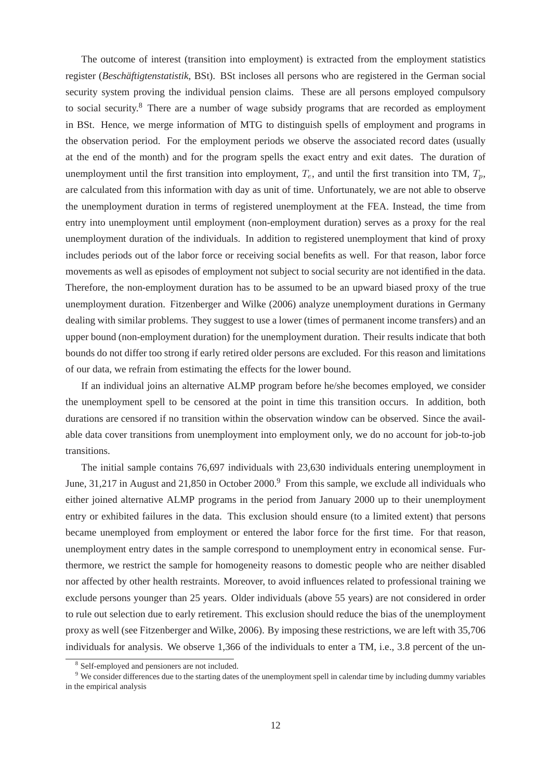The outcome of interest (transition into employment) is extracted from the employment statistics register (*Beschäftigtenstatistik*, BSt). BSt incloses all persons who are registered in the German social security system proving the individual pension claims. These are all persons employed compulsory to social security.<sup>8</sup> There are a number of wage subsidy programs that are recorded as employment in BSt. Hence, we merge information of MTG to distinguish spells of employment and programs in the observation period. For the employment periods we observe the associated record dates (usually at the end of the month) and for the program spells the exact entry and exit dates. The duration of unemployment until the first transition into employment,  $T_e$ , and until the first transition into TM,  $T_p$ , are calculated from this information with day as unit of time. Unfortunately, we are not able to observe the unemployment duration in terms of registered unemployment at the FEA. Instead, the time from entry into unemployment until employment (non-employment duration) serves as a proxy for the real unemployment duration of the individuals. In addition to registered unemployment that kind of proxy includes periods out of the labor force or receiving social benefits as well. For that reason, labor force movements as well as episodes of employment not subject to social security are not identified in the data. Therefore, the non-employment duration has to be assumed to be an upward biased proxy of the true unemployment duration. Fitzenberger and Wilke (2006) analyze unemployment durations in Germany dealing with similar problems. They suggest to use a lower (times of permanent income transfers) and an upper bound (non-employment duration) for the unemployment duration. Their results indicate that both bounds do not differ too strong if early retired older persons are excluded. For this reason and limitations of our data, we refrain from estimating the effects for the lower bound.

If an individual joins an alternative ALMP program before he/she becomes employed, we consider the unemployment spell to be censored at the point in time this transition occurs. In addition, both durations are censored if no transition within the observation window can be observed. Since the available data cover transitions from unemployment into employment only, we do no account for job-to-job transitions.

The initial sample contains 76,697 individuals with 23,630 individuals entering unemployment in June, 31,217 in August and 21,850 in October 2000.<sup>9</sup> From this sample, we exclude all individuals who either joined alternative ALMP programs in the period from January 2000 up to their unemployment entry or exhibited failures in the data. This exclusion should ensure (to a limited extent) that persons became unemployed from employment or entered the labor force for the first time. For that reason, unemployment entry dates in the sample correspond to unemployment entry in economical sense. Furthermore, we restrict the sample for homogeneity reasons to domestic people who are neither disabled nor affected by other health restraints. Moreover, to avoid influences related to professional training we exclude persons younger than 25 years. Older individuals (above 55 years) are not considered in order to rule out selection due to early retirement. This exclusion should reduce the bias of the unemployment proxy as well (see Fitzenberger and Wilke, 2006). By imposing these restrictions, we are left with 35,706 individuals for analysis. We observe 1,366 of the individuals to enter a TM, i.e., 3.8 percent of the un-

<sup>8</sup> Self-employed and pensioners are not included.

<sup>&</sup>lt;sup>9</sup> We consider differences due to the starting dates of the unemployment spell in calendar time by including dummy variables in the empirical analysis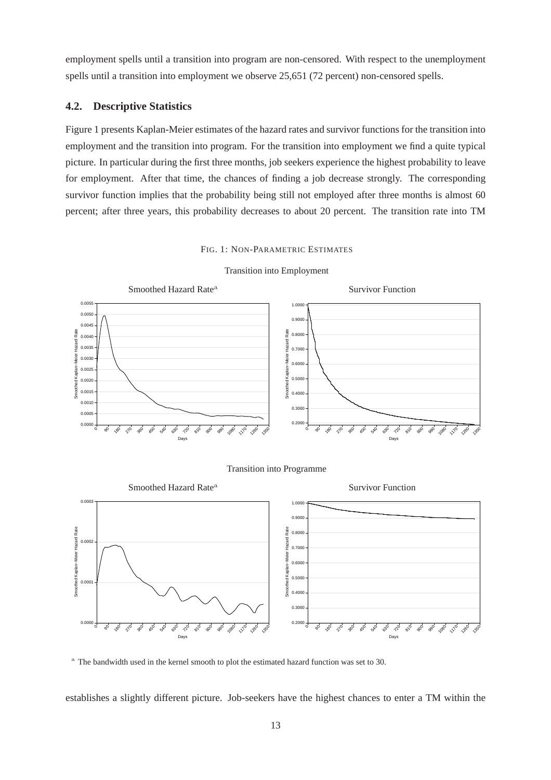employment spells until a transition into program are non-censored. With respect to the unemployment spells until a transition into employment we observe 25,651 (72 percent) non-censored spells.

## **4.2. Descriptive Statistics**

0.0000

 $\circ$ oo 180  $v^{\circ}$ .<br>3<sup>60</sup> 450 540 630  $\gamma^{\circ}$  $e^{\delta}$ go 990 1080 110 1260 1350

Figure 1 presents Kaplan-Meier estimates of the hazard rates and survivor functions for the transition into employment and the transition into program. For the transition into employment we find a quite typical picture. In particular during the first three months, job seekers experience the highest probability to leave for employment. After that time, the chances of finding a job decrease strongly. The corresponding survivor function implies that the probability being still not employed after three months is almost 60 percent; after three years, this probability decreases to about 20 percent. The transition rate into TM

#### FIG. 1: NON-PARAMETRIC ESTIMATES



#### Transition into Employment

<sup>a</sup> The bandwidth used in the kernel smooth to plot the estimated hazard function was set to 30.

Days

establishes a slightly different picture. Job-seekers have the highest chances to enter a TM within the

0.2000

 $\circ$ oo 180  $v^{\circ}$ 360 450 540  $\mathcal{S}$  $76$ 810 .<br>م  $^{\circ}$ 1080 110 1260 1350

Days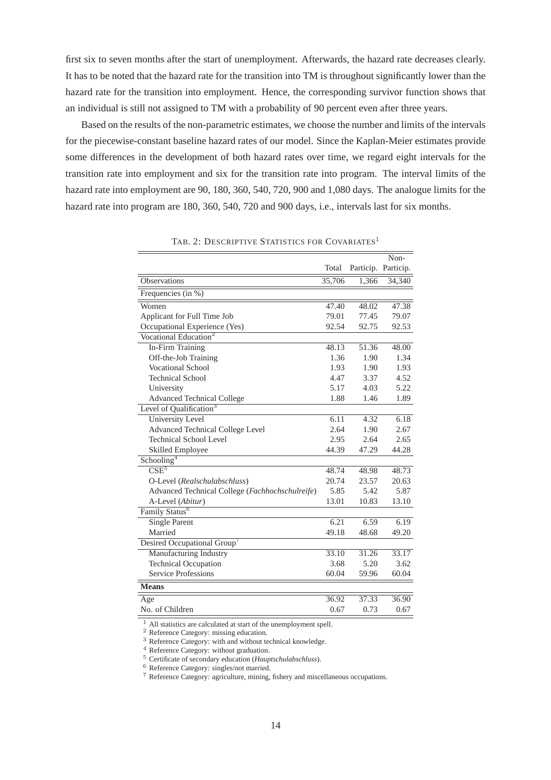first six to seven months after the start of unemployment. Afterwards, the hazard rate decreases clearly. It has to be noted that the hazard rate for the transition into TM is throughout significantly lower than the hazard rate for the transition into employment. Hence, the corresponding survivor function shows that an individual is still not assigned to TM with a probability of 90 percent even after three years.

Based on the results of the non-parametric estimates, we choose the number and limits of the intervals for the piecewise-constant baseline hazard rates of our model. Since the Kaplan-Meier estimates provide some differences in the development of both hazard rates over time, we regard eight intervals for the transition rate into employment and six for the transition rate into program. The interval limits of the hazard rate into employment are 90, 180, 360, 540, 720, 900 and 1,080 days. The analogue limits for the hazard rate into program are 180, 360, 540, 720 and 900 days, i.e., intervals last for six months.

|                                                 |        |           | Non-      |
|-------------------------------------------------|--------|-----------|-----------|
|                                                 | Total  | Particip. | Particip. |
| <b>Observations</b>                             | 35,706 | 1,366     | 34,340    |
| Frequencies (in %)                              |        |           |           |
| Women                                           | 47.40  | 48.02     | 47.38     |
| Applicant for Full Time Job                     | 79.01  | 77.45     | 79.07     |
| Occupational Experience (Yes)                   | 92.54  | 92.75     | 92.53     |
| Vocational Education <sup>2</sup>               |        |           |           |
| <b>In-Firm Training</b>                         | 48.13  | 51.36     | 48.00     |
| Off-the-Job Training                            | 1.36   | 1.90      | 1.34      |
| <b>Vocational School</b>                        | 1.93   | 1.90      | 1.93      |
| <b>Technical School</b>                         | 4.47   | 3.37      | 4.52      |
| University                                      | 5.17   | 4.03      | 5.22      |
| <b>Advanced Technical College</b>               | 1.88   | 1.46      | 1.89      |
| Level of Qualification <sup>3</sup>             |        |           |           |
| University Level                                | 6.11   | 4.32      | 6.18      |
| <b>Advanced Technical College Level</b>         | 2.64   | 1.90      | 2.67      |
| <b>Technical School Level</b>                   | 2.95   | 2.64      | 2.65      |
| <b>Skilled Employee</b>                         | 44.39  | 47.29     | 44.28     |
| Schooling <sup>4</sup>                          |        |           |           |
| CSE <sup>5</sup>                                | 48.74  | 48.98     | 48.73     |
| O-Level (Realschulabschluss)                    | 20.74  | 23.57     | 20.63     |
| Advanced Technical College (Fachhochschulreife) | 5.85   | 5.42      | 5.87      |
| A-Level (Abitur)                                | 13.01  | 10.83     | 13.10     |
| Family Status <sup>6</sup>                      |        |           |           |
| Single Parent                                   | 6.21   | 6.59      | 6.19      |
| Married                                         | 49.18  | 48.68     | 49.20     |
| Desired Occupational Group <sup>7</sup>         |        |           |           |
| Manufacturing Industry                          | 33.10  | 31.26     | 33.17     |
| <b>Technical Occupation</b>                     | 3.68   | 5.20      | 3.62      |
| <b>Service Professions</b>                      | 60.04  | 59.96     | 60.04     |
| <b>Means</b>                                    |        |           |           |
| Age                                             | 36.92  | 37.33     | 36.90     |
| No. of Children                                 | 0.67   | 0.73      | 0.67      |

TAB. 2: DESCRIPTIVE STATISTICS FOR COVARIATES<sup>1</sup>

 $1$  All statistics are calculated at start of the unemployment spell.

<sup>2</sup> Reference Category: missing education.

<sup>3</sup> Reference Category: with and without technical knowledge.

<sup>4</sup> Reference Category: without graduation.

<sup>5</sup> Certificate of secondary education (*Hauptschulabschluss*).

<sup>6</sup> Reference Category: singles/not married.

<sup>7</sup> Reference Category: agriculture, mining, fishery and miscellaneous occupations.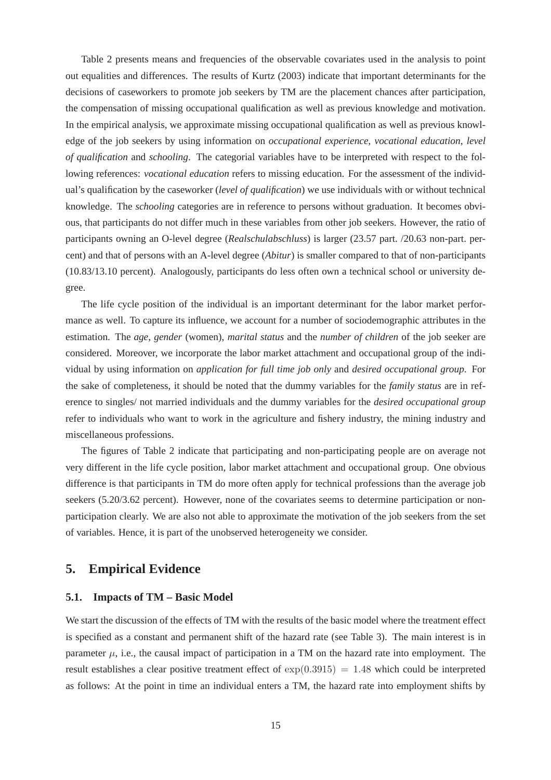Table 2 presents means and frequencies of the observable covariates used in the analysis to point out equalities and differences. The results of Kurtz (2003) indicate that important determinants for the decisions of caseworkers to promote job seekers by TM are the placement chances after participation, the compensation of missing occupational qualification as well as previous knowledge and motivation. In the empirical analysis, we approximate missing occupational qualification as well as previous knowledge of the job seekers by using information on *occupational experience*, *vocational education*, *level of qualification* and *schooling*. The categorial variables have to be interpreted with respect to the following references: *vocational education* refers to missing education. For the assessment of the individual's qualification by the caseworker (*level of qualification*) we use individuals with or without technical knowledge. The *schooling* categories are in reference to persons without graduation. It becomes obvious, that participants do not differ much in these variables from other job seekers. However, the ratio of participants owning an O-level degree (*Realschulabschluss*) is larger (23.57 part. /20.63 non-part. percent) and that of persons with an A-level degree (*Abitur*) is smaller compared to that of non-participants (10.83/13.10 percent). Analogously, participants do less often own a technical school or university degree.

The life cycle position of the individual is an important determinant for the labor market performance as well. To capture its influence, we account for a number of sociodemographic attributes in the estimation. The *age*, *gender* (women), *marital status* and the *number of children* of the job seeker are considered. Moreover, we incorporate the labor market attachment and occupational group of the individual by using information on *application for full time job only* and *desired occupational group*. For the sake of completeness, it should be noted that the dummy variables for the *family status* are in reference to singles/ not married individuals and the dummy variables for the *desired occupational group* refer to individuals who want to work in the agriculture and fishery industry, the mining industry and miscellaneous professions.

The figures of Table 2 indicate that participating and non-participating people are on average not very different in the life cycle position, labor market attachment and occupational group. One obvious difference is that participants in TM do more often apply for technical professions than the average job seekers (5.20/3.62 percent). However, none of the covariates seems to determine participation or nonparticipation clearly. We are also not able to approximate the motivation of the job seekers from the set of variables. Hence, it is part of the unobserved heterogeneity we consider.

## **5. Empirical Evidence**

#### **5.1. Impacts of TM – Basic Model**

We start the discussion of the effects of TM with the results of the basic model where the treatment effect is specified as a constant and permanent shift of the hazard rate (see Table 3). The main interest is in parameter  $\mu$ , i.e., the causal impact of participation in a TM on the hazard rate into employment. The result establishes a clear positive treatment effect of  $\exp(0.3915) = 1.48$  which could be interpreted as follows: At the point in time an individual enters a TM, the hazard rate into employment shifts by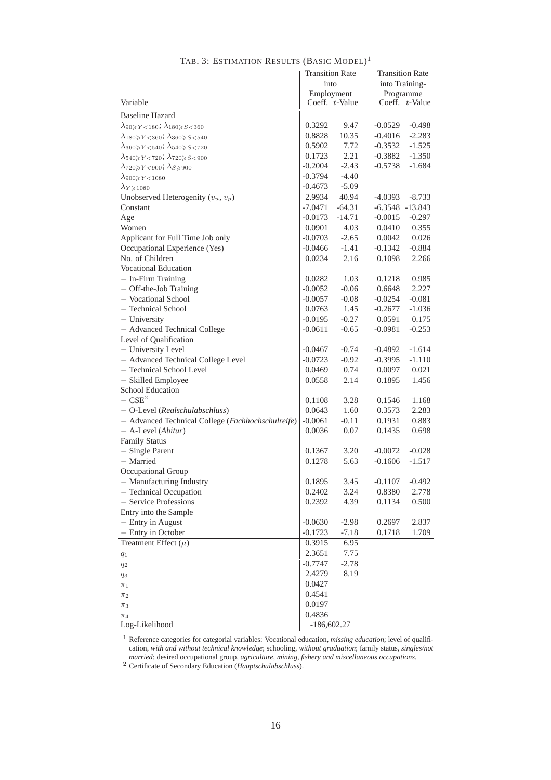|                                                              | <b>Transition Rate</b> |          | <b>Transition Rate</b> |          |
|--------------------------------------------------------------|------------------------|----------|------------------------|----------|
|                                                              | into                   |          | into Training-         |          |
|                                                              | Employment             |          | Programme              |          |
| Variable                                                     | Coeff. t-Value         |          | Coeff. t-Value         |          |
| <b>Baseline Hazard</b>                                       |                        |          |                        |          |
| $\lambda_{90\geqslant Y<180}; \lambda_{180\geqslant S<360}$  | 0.3292                 | 9.47     | $-0.0529$              | $-0.498$ |
| $\lambda_{180\geqslant Y<360};\lambda_{360\geqslant S<540}$  | 0.8828                 | 10.35    | $-0.4016$              | $-2.283$ |
| $\lambda_{360\geqslant Y<540}; \lambda_{540\geqslant S<720}$ | 0.5902                 | 7.72     | $-0.3532$              | $-1.525$ |
| $\lambda_{540\geqslant Y<720}; \lambda_{720\geqslant S<900}$ | 0.1723                 | 2.21     | $-0.3882$              | $-1.350$ |
| $\lambda_{720\geqslant Y<900}; \lambda_{S\geqslant 900}$     | $-0.2004$              | $-2.43$  | $-0.5738$              | $-1.684$ |
| $\lambda_{900 \geqslant Y < 1080}$                           | $-0.3794$              | $-4.40$  |                        |          |
| $\lambda_{Y\geqslant 1080}$                                  | $-0.4673$              | $-5.09$  |                        |          |
| Unobserved Heterogenity $(v_u, v_p)$                         | 2.9934                 | 40.94    | $-4.0393$              | $-8.733$ |
| Constant                                                     | $-7.0471$              | $-64.31$ | $-6.3548 - 13.843$     |          |
| Age                                                          | $-0.0173$              | $-14.71$ | $-0.0015$              | $-0.297$ |
| Women                                                        | 0.0901                 | 4.03     | 0.0410                 | 0.355    |
| Applicant for Full Time Job only                             | $-0.0703$              | $-2.65$  | 0.0042                 | 0.026    |
| Occupational Experience (Yes)                                | $-0.0466$              | $-1.41$  | $-0.1342$              | $-0.884$ |
| No. of Children                                              | 0.0234                 | 2.16     | 0.1098                 |          |
| <b>Vocational Education</b>                                  |                        |          |                        | 2.266    |
|                                                              |                        |          |                        |          |
| $-$ In-Firm Training                                         | 0.0282                 | 1.03     | 0.1218                 | 0.985    |
| - Off-the-Job Training                                       | $-0.0052$              | $-0.06$  | 0.6648                 | 2.227    |
| - Vocational School                                          | $-0.0057$              | $-0.08$  | $-0.0254$              | $-0.081$ |
| - Technical School                                           | 0.0763                 | 1.45     | $-0.2677$              | $-1.036$ |
| - University                                                 | $-0.0195$              | $-0.27$  | 0.0591                 | 0.175    |
| - Advanced Technical College                                 | $-0.0611$              | $-0.65$  | $-0.0981$              | $-0.253$ |
| Level of Qualification                                       |                        |          |                        |          |
| - University Level                                           | $-0.0467$              | $-0.74$  | -0.4892                | $-1.614$ |
| - Advanced Technical College Level                           | $-0.0723$              | $-0.92$  | $-0.3995$              | $-1.110$ |
| - Technical School Level                                     | 0.0469                 | 0.74     | 0.0097                 | 0.021    |
| - Skilled Employee                                           | 0.0558                 | 2.14     | 0.1895                 | 1.456    |
| School Education                                             |                        |          |                        |          |
| $-CSE2$                                                      | 0.1108                 | 3.28     | 0.1546                 | 1.168    |
| - O-Level (Realschulabschluss)                               | 0.0643                 | 1.60     | 0.3573                 | 2.283    |
| - Advanced Technical College (Fachhochschulreife)            | $-0.0061$              | $-0.11$  | 0.1931                 | 0.883    |
| $-$ A-Level ( <i>Abitur</i> )                                | 0.0036                 | 0.07     | 0.1435                 | 0.698    |
| <b>Family Status</b>                                         |                        |          |                        |          |
| $-$ Single Parent                                            | 0.1367                 | 3.20     | $-0.0072$              | $-0.028$ |
| - Married                                                    | 0.1278                 | 5.63     | $-0.1606$              | $-1.517$ |
| Occupational Group                                           |                        |          |                        |          |
| - Manufacturing Industry                                     | 0.1895                 | 3.45     | $-0.1107$              | $-0.492$ |
| - Technical Occupation                                       | 0.2402                 | 3.24     | 0.8380                 | 2.778    |
| - Service Professions                                        | 0.2392                 | 4.39     | 0.1134                 | 0.500    |
| Entry into the Sample                                        |                        |          |                        |          |
| - Entry in August                                            | $-0.0630$              | $-2.98$  | 0.2697                 | 2.837    |
| - Entry in October                                           | $-0.1723$              | $-7.18$  | 0.1718                 | 1.709    |
| Treatment Effect $(\mu)$                                     | 0.3915                 | 6.95     |                        |          |
|                                                              | 2.3651                 | 7.75     |                        |          |
| $q_1$                                                        | $-0.7747$              | $-2.78$  |                        |          |
| $q_2$                                                        | 2.4279                 | 8.19     |                        |          |
| $q_3$                                                        |                        |          |                        |          |
| $\pi_1$                                                      | 0.0427                 |          |                        |          |
| $\pi_2$                                                      | 0.4541                 |          |                        |          |
| $\pi_3$                                                      | 0.0197                 |          |                        |          |
| $\pi_4$                                                      | 0.4836                 |          |                        |          |
| Log-Likelihood                                               | $-186,602.27$          |          |                        |          |

## TAB. 3: ESTIMATION RESULTS (BASIC MODEL)<sup>1</sup>

<sup>1</sup> Reference categories for categorial variables: Vocational education, *missing education*; level of qualification, *with and without technical knowledge*; schooling, *without graduation*; family status, *singles/not married*; desired occupational group, *agriculture, mining, fishery and miscellaneous occupations*. <sup>2</sup> Certificate of Secondary Education (*Hauptschulabschluss*).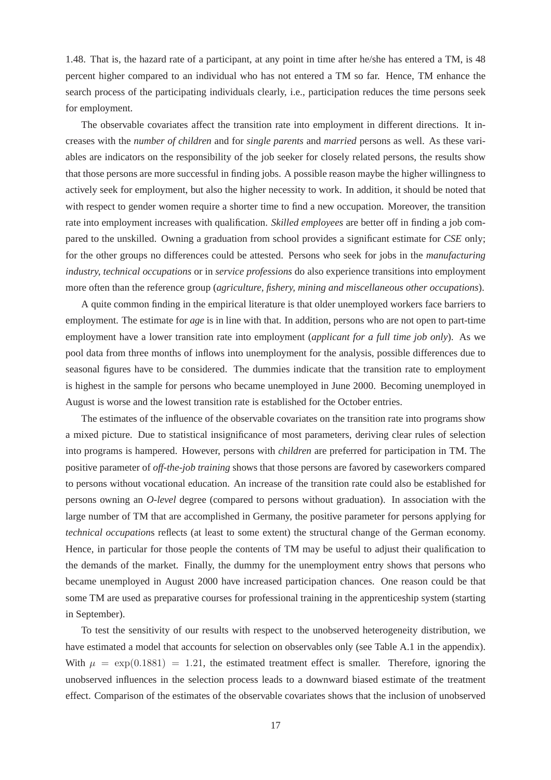1.48. That is, the hazard rate of a participant, at any point in time after he/she has entered a TM, is 48 percent higher compared to an individual who has not entered a TM so far. Hence, TM enhance the search process of the participating individuals clearly, i.e., participation reduces the time persons seek for employment.

The observable covariates affect the transition rate into employment in different directions. It increases with the *number of children* and for *single parents* and *married* persons as well. As these variables are indicators on the responsibility of the job seeker for closely related persons, the results show that those persons are more successful in finding jobs. A possible reason maybe the higher willingness to actively seek for employment, but also the higher necessity to work. In addition, it should be noted that with respect to gender women require a shorter time to find a new occupation. Moreover, the transition rate into employment increases with qualification. *Skilled employees* are better off in finding a job compared to the unskilled. Owning a graduation from school provides a significant estimate for *CSE* only; for the other groups no differences could be attested. Persons who seek for jobs in the *manufacturing industry, technical occupations* or in *service professions* do also experience transitions into employment more often than the reference group (*agriculture, fishery, mining and miscellaneous other occupations*).

A quite common finding in the empirical literature is that older unemployed workers face barriers to employment. The estimate for *age* is in line with that. In addition, persons who are not open to part-time employment have a lower transition rate into employment (*applicant for a full time job only*). As we pool data from three months of inflows into unemployment for the analysis, possible differences due to seasonal figures have to be considered. The dummies indicate that the transition rate to employment is highest in the sample for persons who became unemployed in June 2000. Becoming unemployed in August is worse and the lowest transition rate is established for the October entries.

The estimates of the influence of the observable covariates on the transition rate into programs show a mixed picture. Due to statistical insignificance of most parameters, deriving clear rules of selection into programs is hampered. However, persons with *children* are preferred for participation in TM. The positive parameter of *off-the-job training* shows that those persons are favored by caseworkers compared to persons without vocational education. An increase of the transition rate could also be established for persons owning an *O-level* degree (compared to persons without graduation). In association with the large number of TM that are accomplished in Germany, the positive parameter for persons applying for *technical occupation*s reflects (at least to some extent) the structural change of the German economy. Hence, in particular for those people the contents of TM may be useful to adjust their qualification to the demands of the market. Finally, the dummy for the unemployment entry shows that persons who became unemployed in August 2000 have increased participation chances. One reason could be that some TM are used as preparative courses for professional training in the apprenticeship system (starting in September).

To test the sensitivity of our results with respect to the unobserved heterogeneity distribution, we have estimated a model that accounts for selection on observables only (see Table A.1 in the appendix). With  $\mu = \exp(0.1881) = 1.21$ , the estimated treatment effect is smaller. Therefore, ignoring the unobserved influences in the selection process leads to a downward biased estimate of the treatment effect. Comparison of the estimates of the observable covariates shows that the inclusion of unobserved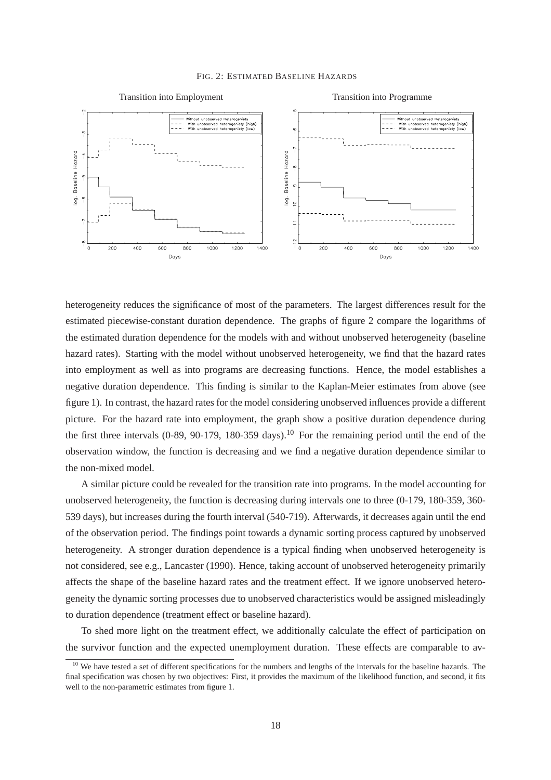#### FIG. 2: ESTIMATED BASELINE HAZARDS



heterogeneity reduces the significance of most of the parameters. The largest differences result for the estimated piecewise-constant duration dependence. The graphs of figure 2 compare the logarithms of the estimated duration dependence for the models with and without unobserved heterogeneity (baseline hazard rates). Starting with the model without unobserved heterogeneity, we find that the hazard rates into employment as well as into programs are decreasing functions. Hence, the model establishes a negative duration dependence. This finding is similar to the Kaplan-Meier estimates from above (see figure 1). In contrast, the hazard rates for the model considering unobserved influences provide a different picture. For the hazard rate into employment, the graph show a positive duration dependence during the first three intervals (0-89, 90-179, 180-359 days).<sup>10</sup> For the remaining period until the end of the observation window, the function is decreasing and we find a negative duration dependence similar to the non-mixed model.

A similar picture could be revealed for the transition rate into programs. In the model accounting for unobserved heterogeneity, the function is decreasing during intervals one to three (0-179, 180-359, 360- 539 days), but increases during the fourth interval (540-719). Afterwards, it decreases again until the end of the observation period. The findings point towards a dynamic sorting process captured by unobserved heterogeneity. A stronger duration dependence is a typical finding when unobserved heterogeneity is not considered, see e.g., Lancaster (1990). Hence, taking account of unobserved heterogeneity primarily affects the shape of the baseline hazard rates and the treatment effect. If we ignore unobserved heterogeneity the dynamic sorting processes due to unobserved characteristics would be assigned misleadingly to duration dependence (treatment effect or baseline hazard).

To shed more light on the treatment effect, we additionally calculate the effect of participation on the survivor function and the expected unemployment duration. These effects are comparable to av-

 $10$  We have tested a set of different specifications for the numbers and lengths of the intervals for the baseline hazards. The final specification was chosen by two objectives: First, it provides the maximum of the likelihood function, and second, it fits well to the non-parametric estimates from figure 1.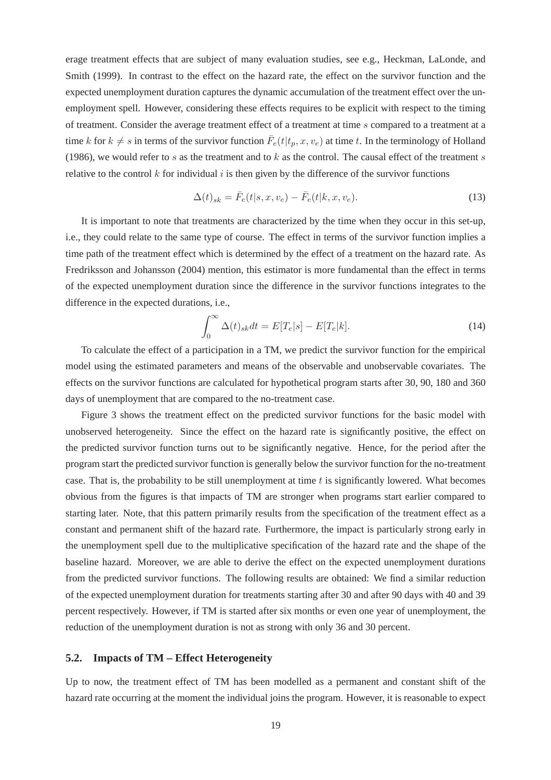erage treatment effects that are subject of many evaluation studies, see e.g., Heckman, LaLonde, and Smith (1999). In contrast to the effect on the hazard rate, the effect on the survivor function and the expected unemployment duration captures the dynamic accumulation of the treatment effect over the unemployment spell. However, considering these effects requires to be explicit with respect to the timing of treatment. Consider the average treatment effect of a treatment at time s compared to a treatment at a time k for  $k \neq s$  in terms of the survivor function  $\bar{F}_e(t|t_p, x, v_e)$  at time t. In the terminology of Holland (1986), we would refer to  $s$  as the treatment and to  $k$  as the control. The causal effect of the treatment  $s$ relative to the control  $k$  for individual  $i$  is then given by the difference of the survivor functions

$$
\Delta(t)_{sk} = \bar{F}_e(t|s, x, v_e) - \bar{F}_e(t|k, x, v_e).
$$
\n(13)

It is important to note that treatments are characterized by the time when they occur in this set-up, i.e., they could relate to the same type of course. The effect in terms of the survivor function implies a time path of the treatment effect which is determined by the effect of a treatment on the hazard rate. As Fredriksson and Johansson (2004) mention, this estimator is more fundamental than the effect in terms of the expected unemployment duration since the difference in the survivor functions integrates to the difference in the expected durations, i.e.,

$$
\int_0^\infty \Delta(t)_{sk} dt = E[T_e|s] - E[T_e|k].\tag{14}
$$

To calculate the effect of a participation in a TM, we predict the survivor function for the empirical model using the estimated parameters and means of the observable and unobservable covariates. The effects on the survivor functions are calculated for hypothetical program starts after 30, 90, 180 and 360 days of unemployment that are compared to the no-treatment case.

Figure 3 shows the treatment effect on the predicted survivor functions for the basic model with unobserved heterogeneity. Since the effect on the hazard rate is significantly positive, the effect on the predicted survivor function turns out to be significantly negative. Hence, for the period after the program start the predicted survivor function is generally below the survivor function for the no-treatment case. That is, the probability to be still unemployment at time  $t$  is significantly lowered. What becomes obvious from the figures is that impacts of TM are stronger when programs start earlier compared to starting later. Note, that this pattern primarily results from the specification of the treatment effect as a constant and permanent shift of the hazard rate. Furthermore, the impact is particularly strong early in the unemployment spell due to the multiplicative specification of the hazard rate and the shape of the baseline hazard. Moreover, we are able to derive the effect on the expected unemployment durations from the predicted survivor functions. The following results are obtained: We find a similar reduction of the expected unemployment duration for treatments starting after 30 and after 90 days with 40 and 39 percent respectively. However, if TM is started after six months or even one year of unemployment, the reduction of the unemployment duration is not as strong with only 36 and 30 percent.

#### **5.2. Impacts of TM – Effect Heterogeneity**

Up to now, the treatment effect of TM has been modelled as a permanent and constant shift of the hazard rate occurring at the moment the individual joins the program. However, it is reasonable to expect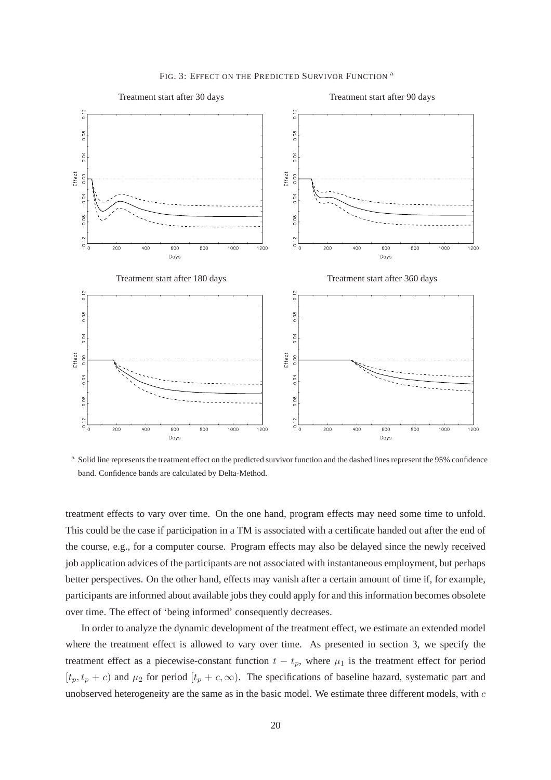



<sup>a</sup> Solid line represents the treatment effect on the predicted survivor function and the dashed lines represent the 95% confidence band. Confidence bands are calculated by Delta-Method.

treatment effects to vary over time. On the one hand, program effects may need some time to unfold. This could be the case if participation in a TM is associated with a certificate handed out after the end of the course, e.g., for a computer course. Program effects may also be delayed since the newly received job application advices of the participants are not associated with instantaneous employment, but perhaps better perspectives. On the other hand, effects may vanish after a certain amount of time if, for example, participants are informed about available jobs they could apply for and this information becomes obsolete over time. The effect of 'being informed' consequently decreases.

In order to analyze the dynamic development of the treatment effect, we estimate an extended model where the treatment effect is allowed to vary over time. As presented in section 3, we specify the treatment effect as a piecewise-constant function  $t - t_p$ , where  $\mu_1$  is the treatment effect for period  $[t_p, t_p + c]$  and  $\mu_2$  for period  $[t_p + c, \infty)$ . The specifications of baseline hazard, systematic part and unobserved heterogeneity are the same as in the basic model. We estimate three different models, with  $c$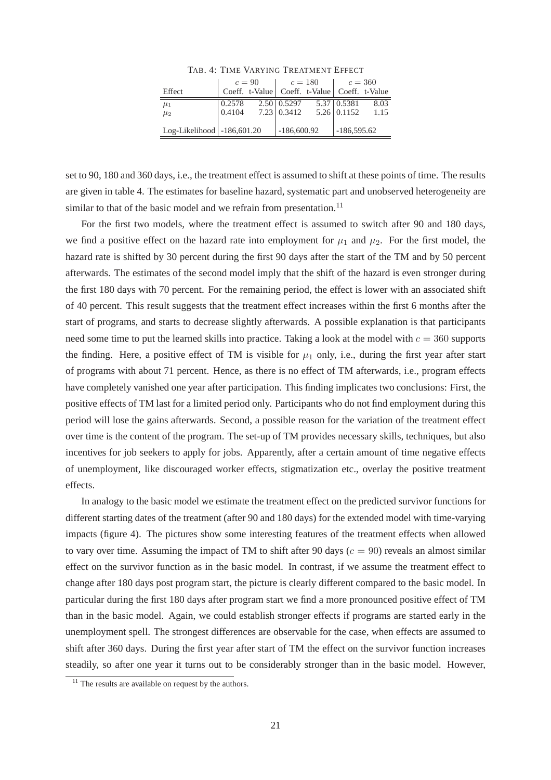|                            |  |                                                                                                                                                   |               |  | $c = 90$ $c = 180$ $c = 360$<br>Coeff. t-Value Coeff. t-Value Coeff. t-Value |      |
|----------------------------|--|---------------------------------------------------------------------------------------------------------------------------------------------------|---------------|--|------------------------------------------------------------------------------|------|
| Effect                     |  |                                                                                                                                                   |               |  |                                                                              |      |
| $\mu_1$                    |  | $\begin{array}{ l l l l l } \hline 0.2578 & 2.50 & 0.5297 & 5.37 & 0.5381 \\ \hline 0.4104 & 7.23 & 0.3412 & 5.26 & 0.1152 \\ \hline \end{array}$ |               |  |                                                                              | 8.03 |
| $\mu_2$                    |  |                                                                                                                                                   |               |  |                                                                              | 1.15 |
| Log-Likelihood -186,601.20 |  |                                                                                                                                                   | $-186,600.92$ |  | $-186,595.62$                                                                |      |

TAB. 4: TIME VARYING TREATMENT EFFECT

set to 90, 180 and 360 days, i.e., the treatment effect is assumed to shift at these points of time. The results are given in table 4. The estimates for baseline hazard, systematic part and unobserved heterogeneity are similar to that of the basic model and we refrain from presentation.<sup>11</sup>

For the first two models, where the treatment effect is assumed to switch after 90 and 180 days, we find a positive effect on the hazard rate into employment for  $\mu_1$  and  $\mu_2$ . For the first model, the hazard rate is shifted by 30 percent during the first 90 days after the start of the TM and by 50 percent afterwards. The estimates of the second model imply that the shift of the hazard is even stronger during the first 180 days with 70 percent. For the remaining period, the effect is lower with an associated shift of 40 percent. This result suggests that the treatment effect increases within the first 6 months after the start of programs, and starts to decrease slightly afterwards. A possible explanation is that participants need some time to put the learned skills into practice. Taking a look at the model with  $c = 360$  supports the finding. Here, a positive effect of TM is visible for  $\mu_1$  only, i.e., during the first year after start of programs with about 71 percent. Hence, as there is no effect of TM afterwards, i.e., program effects have completely vanished one year after participation. This finding implicates two conclusions: First, the positive effects of TM last for a limited period only. Participants who do not find employment during this period will lose the gains afterwards. Second, a possible reason for the variation of the treatment effect over time is the content of the program. The set-up of TM provides necessary skills, techniques, but also incentives for job seekers to apply for jobs. Apparently, after a certain amount of time negative effects of unemployment, like discouraged worker effects, stigmatization etc., overlay the positive treatment effects.

In analogy to the basic model we estimate the treatment effect on the predicted survivor functions for different starting dates of the treatment (after 90 and 180 days) for the extended model with time-varying impacts (figure 4). The pictures show some interesting features of the treatment effects when allowed to vary over time. Assuming the impact of TM to shift after 90 days ( $c = 90$ ) reveals an almost similar effect on the survivor function as in the basic model. In contrast, if we assume the treatment effect to change after 180 days post program start, the picture is clearly different compared to the basic model. In particular during the first 180 days after program start we find a more pronounced positive effect of TM than in the basic model. Again, we could establish stronger effects if programs are started early in the unemployment spell. The strongest differences are observable for the case, when effects are assumed to shift after 360 days. During the first year after start of TM the effect on the survivor function increases steadily, so after one year it turns out to be considerably stronger than in the basic model. However,

 $11$  The results are available on request by the authors.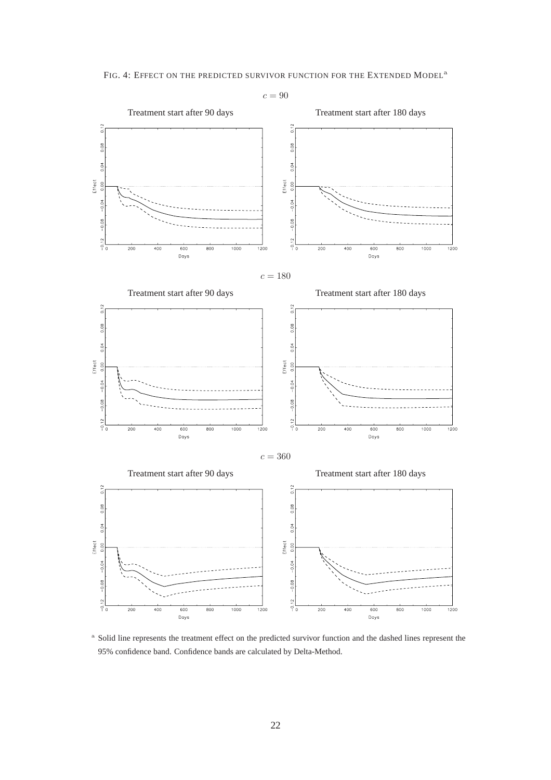

FIG. 4: EFFECT ON THE PREDICTED SURVIVOR FUNCTION FOR THE EXTENDED MODEL<sup>a</sup>

 $c=90\,$ 

<sup>a</sup> Solid line represents the treatment effect on the predicted survivor function and the dashed lines represent the 95% confidence band. Confidence bands are calculated by Delta-Method.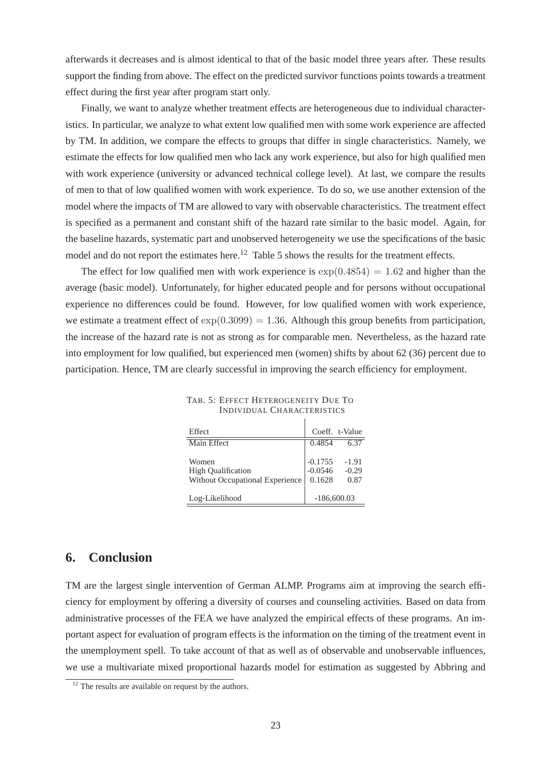afterwards it decreases and is almost identical to that of the basic model three years after. These results support the finding from above. The effect on the predicted survivor functions points towards a treatment effect during the first year after program start only.

Finally, we want to analyze whether treatment effects are heterogeneous due to individual characteristics. In particular, we analyze to what extent low qualified men with some work experience are affected by TM. In addition, we compare the effects to groups that differ in single characteristics. Namely, we estimate the effects for low qualified men who lack any work experience, but also for high qualified men with work experience (university or advanced technical college level). At last, we compare the results of men to that of low qualified women with work experience. To do so, we use another extension of the model where the impacts of TM are allowed to vary with observable characteristics. The treatment effect is specified as a permanent and constant shift of the hazard rate similar to the basic model. Again, for the baseline hazards, systematic part and unobserved heterogeneity we use the specifications of the basic model and do not report the estimates here.<sup>12</sup> Table 5 shows the results for the treatment effects.

The effect for low qualified men with work experience is  $\exp(0.4854) = 1.62$  and higher than the average (basic model). Unfortunately, for higher educated people and for persons without occupational experience no differences could be found. However, for low qualified women with work experience, we estimate a treatment effect of  $exp(0.3099) = 1.36$ . Although this group benefits from participation, the increase of the hazard rate is not as strong as for comparable men. Nevertheless, as the hazard rate into employment for low qualified, but experienced men (women) shifts by about 62 (36) percent due to participation. Hence, TM are clearly successful in improving the search efficiency for employment.

| Effect                          |               | Coeff. t-Value |  |  |
|---------------------------------|---------------|----------------|--|--|
|                                 |               |                |  |  |
| Main Effect                     | 0.4854        | 6.37           |  |  |
| Women                           | $-0.1755$     | $-1.91$        |  |  |
| <b>High Qualification</b>       | $-0.0546$     | $-0.29$        |  |  |
| Without Occupational Experience | 0.1628        | 0.87           |  |  |
| Log-Likelihood                  | $-186,600.03$ |                |  |  |

TAB. 5: EFFECT HETEROGENEITY DUE TO INDIVIDUAL CHARACTERISTICS

# **6. Conclusion**

TM are the largest single intervention of German ALMP. Programs aim at improving the search efficiency for employment by offering a diversity of courses and counseling activities. Based on data from administrative processes of the FEA we have analyzed the empirical effects of these programs. An important aspect for evaluation of program effects is the information on the timing of the treatment event in the unemployment spell. To take account of that as well as of observable and unobservable influences, we use a multivariate mixed proportional hazards model for estimation as suggested by Abbring and

 $12$  The results are available on request by the authors.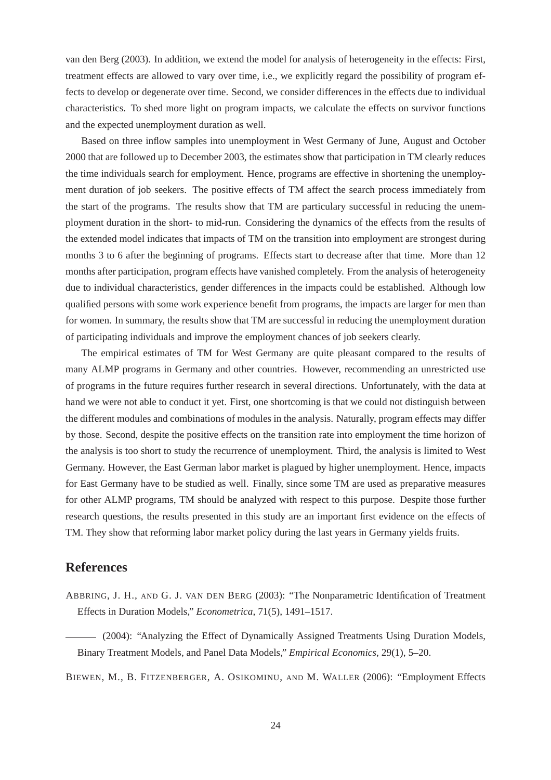van den Berg (2003). In addition, we extend the model for analysis of heterogeneity in the effects: First, treatment effects are allowed to vary over time, i.e., we explicitly regard the possibility of program effects to develop or degenerate over time. Second, we consider differences in the effects due to individual characteristics. To shed more light on program impacts, we calculate the effects on survivor functions and the expected unemployment duration as well.

Based on three inflow samples into unemployment in West Germany of June, August and October 2000 that are followed up to December 2003, the estimates show that participation in TM clearly reduces the time individuals search for employment. Hence, programs are effective in shortening the unemployment duration of job seekers. The positive effects of TM affect the search process immediately from the start of the programs. The results show that TM are particulary successful in reducing the unemployment duration in the short- to mid-run. Considering the dynamics of the effects from the results of the extended model indicates that impacts of TM on the transition into employment are strongest during months 3 to 6 after the beginning of programs. Effects start to decrease after that time. More than 12 months after participation, program effects have vanished completely. From the analysis of heterogeneity due to individual characteristics, gender differences in the impacts could be established. Although low qualified persons with some work experience benefit from programs, the impacts are larger for men than for women. In summary, the results show that TM are successful in reducing the unemployment duration of participating individuals and improve the employment chances of job seekers clearly.

The empirical estimates of TM for West Germany are quite pleasant compared to the results of many ALMP programs in Germany and other countries. However, recommending an unrestricted use of programs in the future requires further research in several directions. Unfortunately, with the data at hand we were not able to conduct it yet. First, one shortcoming is that we could not distinguish between the different modules and combinations of modules in the analysis. Naturally, program effects may differ by those. Second, despite the positive effects on the transition rate into employment the time horizon of the analysis is too short to study the recurrence of unemployment. Third, the analysis is limited to West Germany. However, the East German labor market is plagued by higher unemployment. Hence, impacts for East Germany have to be studied as well. Finally, since some TM are used as preparative measures for other ALMP programs, TM should be analyzed with respect to this purpose. Despite those further research questions, the results presented in this study are an important first evidence on the effects of TM. They show that reforming labor market policy during the last years in Germany yields fruits.

## **References**

- ABBRING, J. H., AND G. J. VAN DEN BERG (2003): "The Nonparametric Identification of Treatment Effects in Duration Models," *Econometrica*, 71(5), 1491–1517.
- (2004): "Analyzing the Effect of Dynamically Assigned Treatments Using Duration Models, Binary Treatment Models, and Panel Data Models," *Empirical Economics*, 29(1), 5–20.

BIEWEN, M., B. FITZENBERGER, A. OSIKOMINU, AND M. WALLER (2006): "Employment Effects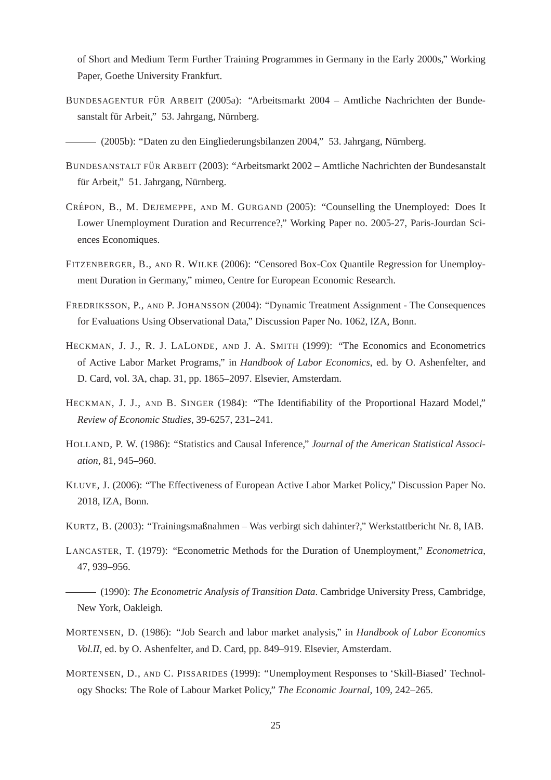of Short and Medium Term Further Training Programmes in Germany in the Early 2000s," Working Paper, Goethe University Frankfurt.

- BUNDESAGENTUR FÜR ARBEIT (2005a): "Arbeitsmarkt 2004 Amtliche Nachrichten der Bundesanstalt für Arbeit," 53. Jahrgang, Nürnberg.
- (2005b): "Daten zu den Eingliederungsbilanzen 2004," 53. Jahrgang, Nürnberg.
- BUNDESANSTALT FÜR ARBEIT (2003): "Arbeitsmarkt 2002 Amtliche Nachrichten der Bundesanstalt für Arbeit," 51. Jahrgang, Nürnberg.
- CRÉPON, B., M. DEJEMEPPE, AND M. GURGAND (2005): "Counselling the Unemployed: Does It Lower Unemployment Duration and Recurrence?," Working Paper no. 2005-27, Paris-Jourdan Sciences Economiques.
- FITZENBERGER, B., AND R. WILKE (2006): "Censored Box-Cox Quantile Regression for Unemployment Duration in Germany," mimeo, Centre for European Economic Research.
- FREDRIKSSON, P., AND P. JOHANSSON (2004): "Dynamic Treatment Assignment The Consequences for Evaluations Using Observational Data," Discussion Paper No. 1062, IZA, Bonn.
- HECKMAN, J. J., R. J. LALONDE, AND J. A. SMITH (1999): "The Economics and Econometrics of Active Labor Market Programs," in *Handbook of Labor Economics*, ed. by O. Ashenfelter, and D. Card, vol. 3A, chap. 31, pp. 1865–2097. Elsevier, Amsterdam.
- HECKMAN, J. J., AND B. SINGER (1984): "The Identifiability of the Proportional Hazard Model," *Review of Economic Studies*, 39-6257, 231–241.
- HOLLAND, P. W. (1986): "Statistics and Causal Inference," *Journal of the American Statistical Association*, 81, 945–960.
- KLUVE, J. (2006): "The Effectiveness of European Active Labor Market Policy," Discussion Paper No. 2018, IZA, Bonn.
- KURTZ, B. (2003): "Trainingsmaßnahmen Was verbirgt sich dahinter?," Werkstattbericht Nr. 8, IAB.
- LANCASTER, T. (1979): "Econometric Methods for the Duration of Unemployment," *Econometrica*, 47, 939–956.
- (1990): *The Econometric Analysis of Transition Data*. Cambridge University Press, Cambridge, New York, Oakleigh.
- MORTENSEN, D. (1986): "Job Search and labor market analysis," in *Handbook of Labor Economics Vol.II*, ed. by O. Ashenfelter, and D. Card, pp. 849–919. Elsevier, Amsterdam.
- MORTENSEN, D., AND C. PISSARIDES (1999): "Unemployment Responses to 'Skill-Biased' Technology Shocks: The Role of Labour Market Policy," *The Economic Journal*, 109, 242–265.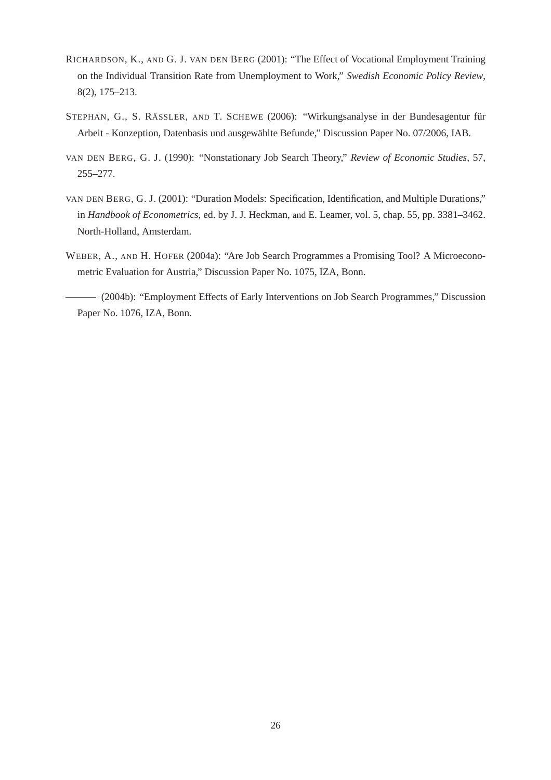- RICHARDSON, K., AND G. J. VAN DEN BERG (2001): "The Effect of Vocational Employment Training on the Individual Transition Rate from Unemployment to Work," *Swedish Economic Policy Review*, 8(2), 175–213.
- STEPHAN, G., S. RÄSSLER, AND T. SCHEWE (2006): "Wirkungsanalyse in der Bundesagentur für Arbeit - Konzeption, Datenbasis und ausgewahlte Befunde," Discussion Paper No. 07/2006, IAB. ¨
- VAN DEN BERG, G. J. (1990): "Nonstationary Job Search Theory," *Review of Economic Studies*, 57, 255–277.
- VAN DEN BERG, G. J. (2001): "Duration Models: Specification, Identification, and Multiple Durations," in *Handbook of Econometrics*, ed. by J. J. Heckman, and E. Leamer, vol. 5, chap. 55, pp. 3381–3462. North-Holland, Amsterdam.
- WEBER, A., AND H. HOFER (2004a): "Are Job Search Programmes a Promising Tool? A Microeconometric Evaluation for Austria," Discussion Paper No. 1075, IZA, Bonn.
- (2004b): "Employment Effects of Early Interventions on Job Search Programmes," Discussion Paper No. 1076, IZA, Bonn.